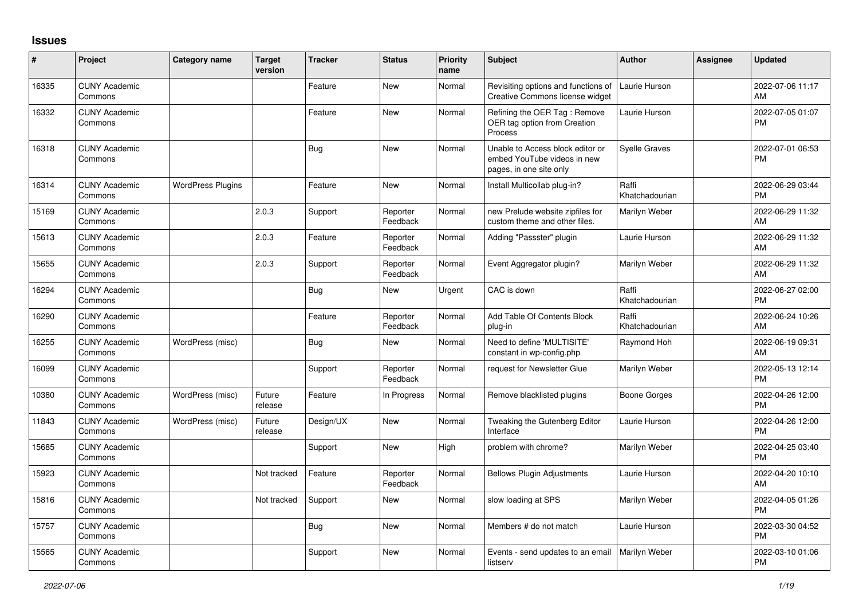## **Issues**

| #     | Project                         | <b>Category name</b>     | <b>Target</b><br>version | <b>Tracker</b> | <b>Status</b>        | <b>Priority</b><br>name | <b>Subject</b>                                                                             | <b>Author</b>           | <b>Assignee</b> | <b>Updated</b>                |
|-------|---------------------------------|--------------------------|--------------------------|----------------|----------------------|-------------------------|--------------------------------------------------------------------------------------------|-------------------------|-----------------|-------------------------------|
| 16335 | <b>CUNY Academic</b><br>Commons |                          |                          | Feature        | New                  | Normal                  | Revisiting options and functions of<br>Creative Commons license widget                     | Laurie Hurson           |                 | 2022-07-06 11:17<br>AM        |
| 16332 | <b>CUNY Academic</b><br>Commons |                          |                          | Feature        | <b>New</b>           | Normal                  | Refining the OER Tag: Remove<br>OER tag option from Creation<br>Process                    | Laurie Hurson           |                 | 2022-07-05 01:07<br><b>PM</b> |
| 16318 | <b>CUNY Academic</b><br>Commons |                          |                          | Bug            | <b>New</b>           | Normal                  | Unable to Access block editor or<br>embed YouTube videos in new<br>pages, in one site only | <b>Syelle Graves</b>    |                 | 2022-07-01 06:53<br><b>PM</b> |
| 16314 | <b>CUNY Academic</b><br>Commons | <b>WordPress Plugins</b> |                          | Feature        | New                  | Normal                  | Install Multicollab plug-in?                                                               | Raffi<br>Khatchadourian |                 | 2022-06-29 03:44<br><b>PM</b> |
| 15169 | <b>CUNY Academic</b><br>Commons |                          | 2.0.3                    | Support        | Reporter<br>Feedback | Normal                  | new Prelude website zipfiles for<br>custom theme and other files.                          | Marilyn Weber           |                 | 2022-06-29 11:32<br>AM        |
| 15613 | <b>CUNY Academic</b><br>Commons |                          | 2.0.3                    | Feature        | Reporter<br>Feedback | Normal                  | Adding "Passster" plugin                                                                   | Laurie Hurson           |                 | 2022-06-29 11:32<br>AM        |
| 15655 | <b>CUNY Academic</b><br>Commons |                          | 2.0.3                    | Support        | Reporter<br>Feedback | Normal                  | Event Aggregator plugin?                                                                   | Marilyn Weber           |                 | 2022-06-29 11:32<br>AM        |
| 16294 | <b>CUNY Academic</b><br>Commons |                          |                          | <b>Bug</b>     | New                  | Urgent                  | CAC is down                                                                                | Raffi<br>Khatchadourian |                 | 2022-06-27 02:00<br>PM        |
| 16290 | <b>CUNY Academic</b><br>Commons |                          |                          | Feature        | Reporter<br>Feedback | Normal                  | Add Table Of Contents Block<br>plug-in                                                     | Raffi<br>Khatchadourian |                 | 2022-06-24 10:26<br>AM        |
| 16255 | <b>CUNY Academic</b><br>Commons | WordPress (misc)         |                          | <b>Bug</b>     | New                  | Normal                  | Need to define 'MULTISITE'<br>constant in wp-config.php                                    | Raymond Hoh             |                 | 2022-06-19 09:31<br>AM        |
| 16099 | <b>CUNY Academic</b><br>Commons |                          |                          | Support        | Reporter<br>Feedback | Normal                  | request for Newsletter Glue                                                                | Marilyn Weber           |                 | 2022-05-13 12:14<br><b>PM</b> |
| 10380 | <b>CUNY Academic</b><br>Commons | WordPress (misc)         | Future<br>release        | Feature        | In Progress          | Normal                  | Remove blacklisted plugins                                                                 | Boone Gorges            |                 | 2022-04-26 12:00<br>PM        |
| 11843 | <b>CUNY Academic</b><br>Commons | WordPress (misc)         | Future<br>release        | Design/UX      | New                  | Normal                  | Tweaking the Gutenberg Editor<br>Interface                                                 | Laurie Hurson           |                 | 2022-04-26 12:00<br>PM        |
| 15685 | <b>CUNY Academic</b><br>Commons |                          |                          | Support        | <b>New</b>           | High                    | problem with chrome?                                                                       | Marilyn Weber           |                 | 2022-04-25 03:40<br><b>PM</b> |
| 15923 | <b>CUNY Academic</b><br>Commons |                          | Not tracked              | Feature        | Reporter<br>Feedback | Normal                  | <b>Bellows Plugin Adjustments</b>                                                          | Laurie Hurson           |                 | 2022-04-20 10:10<br>AM        |
| 15816 | <b>CUNY Academic</b><br>Commons |                          | Not tracked              | Support        | <b>New</b>           | Normal                  | slow loading at SPS                                                                        | Marilyn Weber           |                 | 2022-04-05 01:26<br><b>PM</b> |
| 15757 | <b>CUNY Academic</b><br>Commons |                          |                          | <b>Bug</b>     | New                  | Normal                  | Members # do not match                                                                     | Laurie Hurson           |                 | 2022-03-30 04:52<br>PM        |
| 15565 | <b>CUNY Academic</b><br>Commons |                          |                          | Support        | New                  | Normal                  | Events - send updates to an email<br>listserv                                              | Marilyn Weber           |                 | 2022-03-10 01:06<br>PM        |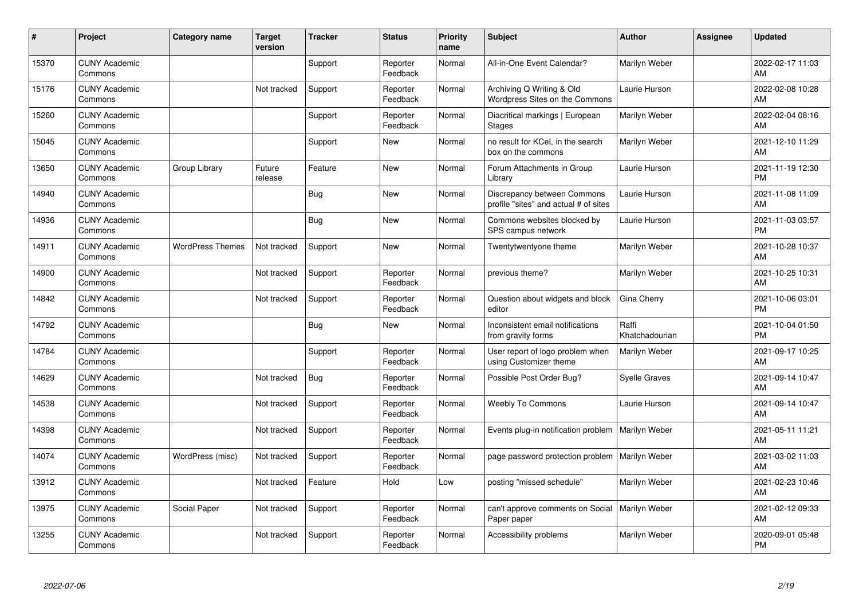| #     | Project                         | <b>Category name</b>    | <b>Target</b><br>version | <b>Tracker</b> | <b>Status</b>        | <b>Priority</b><br>name | <b>Subject</b>                                                       | <b>Author</b>           | <b>Assignee</b> | <b>Updated</b>                |
|-------|---------------------------------|-------------------------|--------------------------|----------------|----------------------|-------------------------|----------------------------------------------------------------------|-------------------------|-----------------|-------------------------------|
| 15370 | <b>CUNY Academic</b><br>Commons |                         |                          | Support        | Reporter<br>Feedback | Normal                  | All-in-One Event Calendar?                                           | Marilyn Weber           |                 | 2022-02-17 11:03<br>AM        |
| 15176 | <b>CUNY Academic</b><br>Commons |                         | Not tracked              | Support        | Reporter<br>Feedback | Normal                  | Archiving Q Writing & Old<br>Wordpress Sites on the Commons          | Laurie Hurson           |                 | 2022-02-08 10:28<br>AM        |
| 15260 | <b>CUNY Academic</b><br>Commons |                         |                          | Support        | Reporter<br>Feedback | Normal                  | Diacritical markings   European<br><b>Stages</b>                     | Marilyn Weber           |                 | 2022-02-04 08:16<br>AM        |
| 15045 | <b>CUNY Academic</b><br>Commons |                         |                          | Support        | <b>New</b>           | Normal                  | no result for KCeL in the search<br>box on the commons               | Marilyn Weber           |                 | 2021-12-10 11:29<br>AM        |
| 13650 | <b>CUNY Academic</b><br>Commons | Group Library           | Future<br>release        | Feature        | New                  | Normal                  | Forum Attachments in Group<br>Library                                | Laurie Hurson           |                 | 2021-11-19 12:30<br><b>PM</b> |
| 14940 | <b>CUNY Academic</b><br>Commons |                         |                          | <b>Bug</b>     | <b>New</b>           | Normal                  | Discrepancy between Commons<br>profile "sites" and actual # of sites | Laurie Hurson           |                 | 2021-11-08 11:09<br>AM        |
| 14936 | <b>CUNY Academic</b><br>Commons |                         |                          | Bug            | New                  | Normal                  | Commons websites blocked by<br>SPS campus network                    | Laurie Hurson           |                 | 2021-11-03 03:57<br><b>PM</b> |
| 14911 | <b>CUNY Academic</b><br>Commons | <b>WordPress Themes</b> | Not tracked              | Support        | New                  | Normal                  | Twentytwentyone theme                                                | Marilyn Weber           |                 | 2021-10-28 10:37<br>AM        |
| 14900 | <b>CUNY Academic</b><br>Commons |                         | Not tracked              | Support        | Reporter<br>Feedback | Normal                  | previous theme?                                                      | Marilyn Weber           |                 | 2021-10-25 10:31<br>AM        |
| 14842 | <b>CUNY Academic</b><br>Commons |                         | Not tracked              | Support        | Reporter<br>Feedback | Normal                  | Question about widgets and block<br>editor                           | Gina Cherry             |                 | 2021-10-06 03:01<br><b>PM</b> |
| 14792 | <b>CUNY Academic</b><br>Commons |                         |                          | <b>Bug</b>     | New                  | Normal                  | Inconsistent email notifications<br>from gravity forms               | Raffi<br>Khatchadourian |                 | 2021-10-04 01:50<br><b>PM</b> |
| 14784 | <b>CUNY Academic</b><br>Commons |                         |                          | Support        | Reporter<br>Feedback | Normal                  | User report of logo problem when<br>using Customizer theme           | Marilyn Weber           |                 | 2021-09-17 10:25<br>AM        |
| 14629 | <b>CUNY Academic</b><br>Commons |                         | Not tracked              | Bug            | Reporter<br>Feedback | Normal                  | Possible Post Order Bug?                                             | <b>Syelle Graves</b>    |                 | 2021-09-14 10:47<br>AM        |
| 14538 | <b>CUNY Academic</b><br>Commons |                         | Not tracked              | Support        | Reporter<br>Feedback | Normal                  | <b>Weebly To Commons</b>                                             | Laurie Hurson           |                 | 2021-09-14 10:47<br>AM        |
| 14398 | <b>CUNY Academic</b><br>Commons |                         | Not tracked              | Support        | Reporter<br>Feedback | Normal                  | Events plug-in notification problem                                  | Marilyn Weber           |                 | 2021-05-11 11:21<br>AM        |
| 14074 | <b>CUNY Academic</b><br>Commons | WordPress (misc)        | Not tracked              | Support        | Reporter<br>Feedback | Normal                  | page password protection problem   Marilyn Weber                     |                         |                 | 2021-03-02 11:03<br>AM        |
| 13912 | <b>CUNY Academic</b><br>Commons |                         | Not tracked              | Feature        | Hold                 | Low                     | posting "missed schedule"                                            | Marilyn Weber           |                 | 2021-02-23 10:46<br>AM        |
| 13975 | <b>CUNY Academic</b><br>Commons | Social Paper            | Not tracked              | Support        | Reporter<br>Feedback | Normal                  | can't approve comments on Social<br>Paper paper                      | Marilyn Weber           |                 | 2021-02-12 09:33<br>AM        |
| 13255 | <b>CUNY Academic</b><br>Commons |                         | Not tracked              | Support        | Reporter<br>Feedback | Normal                  | Accessibility problems                                               | Marilyn Weber           |                 | 2020-09-01 05:48<br><b>PM</b> |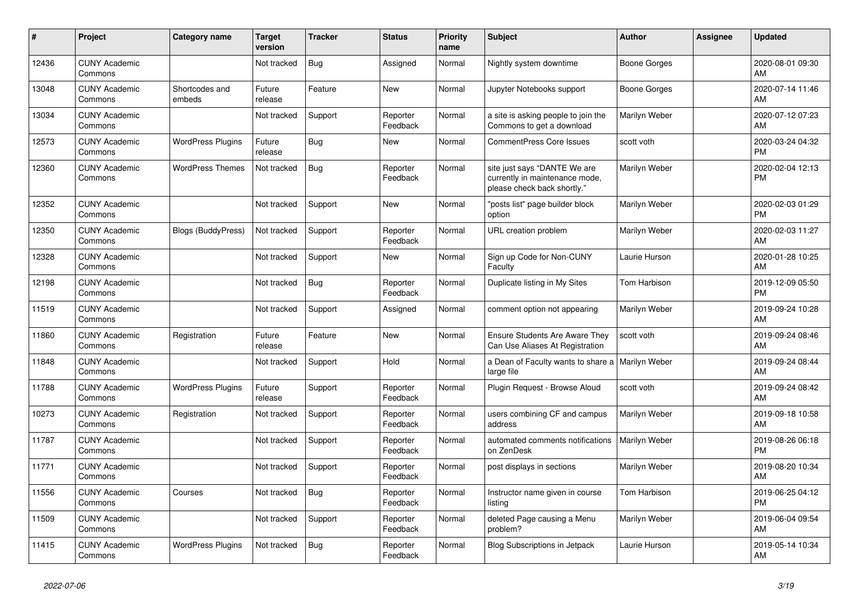| $\vert$ # | <b>Project</b>                  | <b>Category name</b>      | <b>Target</b><br>version | <b>Tracker</b> | <b>Status</b>        | <b>Priority</b><br>name | <b>Subject</b>                                                                                | <b>Author</b>       | Assignee | <b>Updated</b>                |
|-----------|---------------------------------|---------------------------|--------------------------|----------------|----------------------|-------------------------|-----------------------------------------------------------------------------------------------|---------------------|----------|-------------------------------|
| 12436     | <b>CUNY Academic</b><br>Commons |                           | Not tracked              | <b>Bug</b>     | Assigned             | Normal                  | Nightly system downtime                                                                       | Boone Gorges        |          | 2020-08-01 09:30<br>AM        |
| 13048     | <b>CUNY Academic</b><br>Commons | Shortcodes and<br>embeds  | Future<br>release        | Feature        | New                  | Normal                  | Jupyter Notebooks support                                                                     | <b>Boone Gorges</b> |          | 2020-07-14 11:46<br>AM        |
| 13034     | <b>CUNY Academic</b><br>Commons |                           | Not tracked              | Support        | Reporter<br>Feedback | Normal                  | a site is asking people to join the<br>Commons to get a download                              | Marilyn Weber       |          | 2020-07-12 07:23<br>AM        |
| 12573     | <b>CUNY Academic</b><br>Commons | <b>WordPress Plugins</b>  | Future<br>release        | <b>Bug</b>     | <b>New</b>           | Normal                  | <b>CommentPress Core Issues</b>                                                               | scott voth          |          | 2020-03-24 04:32<br><b>PM</b> |
| 12360     | <b>CUNY Academic</b><br>Commons | <b>WordPress Themes</b>   | Not tracked              | <b>Bug</b>     | Reporter<br>Feedback | Normal                  | site just says "DANTE We are<br>currently in maintenance mode,<br>please check back shortly." | Marilyn Weber       |          | 2020-02-04 12:13<br><b>PM</b> |
| 12352     | <b>CUNY Academic</b><br>Commons |                           | Not tracked              | Support        | <b>New</b>           | Normal                  | "posts list" page builder block<br>option                                                     | Marilyn Weber       |          | 2020-02-03 01:29<br><b>PM</b> |
| 12350     | <b>CUNY Academic</b><br>Commons | <b>Blogs (BuddyPress)</b> | Not tracked              | Support        | Reporter<br>Feedback | Normal                  | URL creation problem                                                                          | Marilyn Weber       |          | 2020-02-03 11:27<br>AM        |
| 12328     | <b>CUNY Academic</b><br>Commons |                           | Not tracked              | Support        | New                  | Normal                  | Sign up Code for Non-CUNY<br>Faculty                                                          | Laurie Hurson       |          | 2020-01-28 10:25<br>AM        |
| 12198     | <b>CUNY Academic</b><br>Commons |                           | Not tracked              | Bug            | Reporter<br>Feedback | Normal                  | Duplicate listing in My Sites                                                                 | Tom Harbison        |          | 2019-12-09 05:50<br><b>PM</b> |
| 11519     | <b>CUNY Academic</b><br>Commons |                           | Not tracked              | Support        | Assigned             | Normal                  | comment option not appearing                                                                  | Marilyn Weber       |          | 2019-09-24 10:28<br>AM        |
| 11860     | <b>CUNY Academic</b><br>Commons | Registration              | Future<br>release        | Feature        | New                  | Normal                  | <b>Ensure Students Are Aware They</b><br>Can Use Aliases At Registration                      | scott voth          |          | 2019-09-24 08:46<br>AM        |
| 11848     | <b>CUNY Academic</b><br>Commons |                           | Not tracked              | Support        | Hold                 | Normal                  | a Dean of Faculty wants to share a<br>large file                                              | Marilyn Weber       |          | 2019-09-24 08:44<br>AM        |
| 11788     | <b>CUNY Academic</b><br>Commons | <b>WordPress Plugins</b>  | Future<br>release        | Support        | Reporter<br>Feedback | Normal                  | Plugin Request - Browse Aloud                                                                 | scott voth          |          | 2019-09-24 08:42<br>AM        |
| 10273     | <b>CUNY Academic</b><br>Commons | Registration              | Not tracked              | Support        | Reporter<br>Feedback | Normal                  | users combining CF and campus<br>address                                                      | Marilyn Weber       |          | 2019-09-18 10:58<br>AM        |
| 11787     | <b>CUNY Academic</b><br>Commons |                           | Not tracked              | Support        | Reporter<br>Feedback | Normal                  | automated comments notifications<br>on ZenDesk                                                | Marilyn Weber       |          | 2019-08-26 06:18<br><b>PM</b> |
| 11771     | <b>CUNY Academic</b><br>Commons |                           | Not tracked              | Support        | Reporter<br>Feedback | Normal                  | post displays in sections                                                                     | Marilyn Weber       |          | 2019-08-20 10:34<br>AM        |
| 11556     | <b>CUNY Academic</b><br>Commons | Courses                   | Not tracked              | Bug            | Reporter<br>Feedback | Normal                  | Instructor name given in course<br>listing                                                    | Tom Harbison        |          | 2019-06-25 04:12<br><b>PM</b> |
| 11509     | <b>CUNY Academic</b><br>Commons |                           | Not tracked              | Support        | Reporter<br>Feedback | Normal                  | deleted Page causing a Menu<br>problem?                                                       | Marilyn Weber       |          | 2019-06-04 09:54<br>AM        |
| 11415     | <b>CUNY Academic</b><br>Commons | <b>WordPress Plugins</b>  | Not tracked              | <b>Bug</b>     | Reporter<br>Feedback | Normal                  | Blog Subscriptions in Jetpack                                                                 | Laurie Hurson       |          | 2019-05-14 10:34<br>AM        |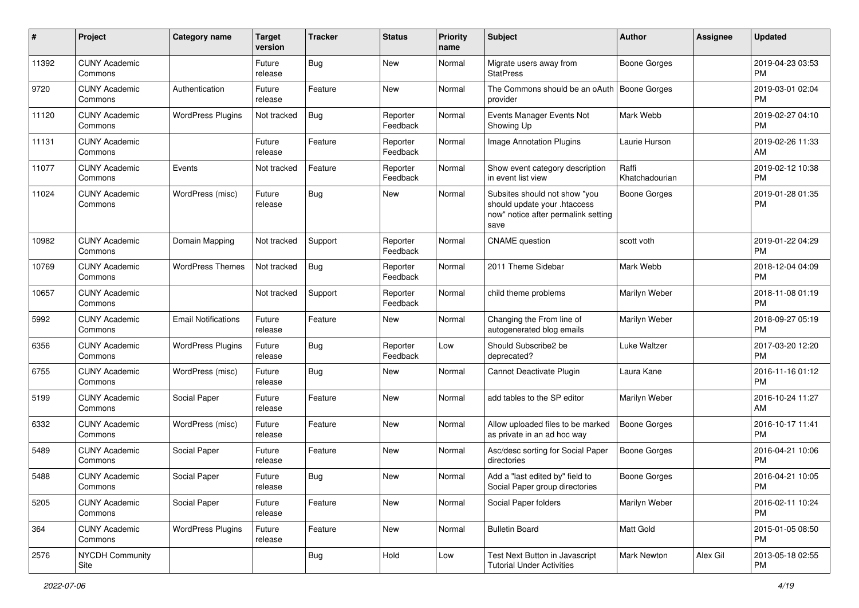| #     | Project                         | <b>Category name</b>       | <b>Target</b><br>version | <b>Tracker</b> | <b>Status</b>        | <b>Priority</b><br>name | <b>Subject</b>                                                                                               | Author                  | <b>Assignee</b> | <b>Updated</b>                |
|-------|---------------------------------|----------------------------|--------------------------|----------------|----------------------|-------------------------|--------------------------------------------------------------------------------------------------------------|-------------------------|-----------------|-------------------------------|
| 11392 | <b>CUNY Academic</b><br>Commons |                            | Future<br>release        | Bug            | New                  | Normal                  | Migrate users away from<br><b>StatPress</b>                                                                  | Boone Gorges            |                 | 2019-04-23 03:53<br>PM        |
| 9720  | <b>CUNY Academic</b><br>Commons | Authentication             | Future<br>release        | Feature        | New                  | Normal                  | The Commons should be an oAuth<br>provider                                                                   | Boone Gorges            |                 | 2019-03-01 02:04<br><b>PM</b> |
| 11120 | <b>CUNY Academic</b><br>Commons | <b>WordPress Plugins</b>   | Not tracked              | <b>Bug</b>     | Reporter<br>Feedback | Normal                  | Events Manager Events Not<br>Showing Up                                                                      | Mark Webb               |                 | 2019-02-27 04:10<br>PM        |
| 11131 | <b>CUNY Academic</b><br>Commons |                            | Future<br>release        | Feature        | Reporter<br>Feedback | Normal                  | Image Annotation Plugins                                                                                     | Laurie Hurson           |                 | 2019-02-26 11:33<br>AM        |
| 11077 | <b>CUNY Academic</b><br>Commons | Events                     | Not tracked              | Feature        | Reporter<br>Feedback | Normal                  | Show event category description<br>in event list view                                                        | Raffi<br>Khatchadourian |                 | 2019-02-12 10:38<br>PM        |
| 11024 | <b>CUNY Academic</b><br>Commons | WordPress (misc)           | Future<br>release        | <b>Bug</b>     | New                  | Normal                  | Subsites should not show "you<br>should update your .htaccess<br>now" notice after permalink setting<br>save | <b>Boone Gorges</b>     |                 | 2019-01-28 01:35<br><b>PM</b> |
| 10982 | <b>CUNY Academic</b><br>Commons | Domain Mapping             | Not tracked              | Support        | Reporter<br>Feedback | Normal                  | <b>CNAME</b> question                                                                                        | scott voth              |                 | 2019-01-22 04:29<br>PM        |
| 10769 | <b>CUNY Academic</b><br>Commons | <b>WordPress Themes</b>    | Not tracked              | Bug            | Reporter<br>Feedback | Normal                  | 2011 Theme Sidebar                                                                                           | Mark Webb               |                 | 2018-12-04 04:09<br><b>PM</b> |
| 10657 | <b>CUNY Academic</b><br>Commons |                            | Not tracked              | Support        | Reporter<br>Feedback | Normal                  | child theme problems                                                                                         | Marilyn Weber           |                 | 2018-11-08 01:19<br>PM        |
| 5992  | <b>CUNY Academic</b><br>Commons | <b>Email Notifications</b> | Future<br>release        | Feature        | New                  | Normal                  | Changing the From line of<br>autogenerated blog emails                                                       | Marilyn Weber           |                 | 2018-09-27 05:19<br>PM        |
| 6356  | <b>CUNY Academic</b><br>Commons | <b>WordPress Plugins</b>   | Future<br>release        | <b>Bug</b>     | Reporter<br>Feedback | Low                     | Should Subscribe2 be<br>deprecated?                                                                          | Luke Waltzer            |                 | 2017-03-20 12:20<br>PM        |
| 6755  | <b>CUNY Academic</b><br>Commons | WordPress (misc)           | Future<br>release        | <b>Bug</b>     | New                  | Normal                  | Cannot Deactivate Plugin                                                                                     | Laura Kane              |                 | 2016-11-16 01:12<br><b>PM</b> |
| 5199  | <b>CUNY Academic</b><br>Commons | Social Paper               | Future<br>release        | Feature        | <b>New</b>           | Normal                  | add tables to the SP editor                                                                                  | Marilyn Weber           |                 | 2016-10-24 11:27<br>AM        |
| 6332  | <b>CUNY Academic</b><br>Commons | WordPress (misc)           | Future<br>release        | Feature        | New                  | Normal                  | Allow uploaded files to be marked<br>as private in an ad hoc way                                             | Boone Gorges            |                 | 2016-10-17 11:41<br>PM        |
| 5489  | <b>CUNY Academic</b><br>Commons | Social Paper               | Future<br>release        | Feature        | New                  | Normal                  | Asc/desc sorting for Social Paper<br>directories                                                             | <b>Boone Gorges</b>     |                 | 2016-04-21 10:06<br>PM        |
| 5488  | <b>CUNY Academic</b><br>Commons | Social Paper               | Future<br>release        | <b>Bug</b>     | New                  | Normal                  | Add a "last edited by" field to<br>Social Paper group directories                                            | Boone Gorges            |                 | 2016-04-21 10:05<br>PM        |
| 5205  | <b>CUNY Academic</b><br>Commons | Social Paper               | Future<br>release        | Feature        | New                  | Normal                  | Social Paper folders                                                                                         | Marilyn Weber           |                 | 2016-02-11 10:24<br><b>PM</b> |
| 364   | <b>CUNY Academic</b><br>Commons | <b>WordPress Plugins</b>   | Future<br>release        | Feature        | New                  | Normal                  | <b>Bulletin Board</b>                                                                                        | Matt Gold               |                 | 2015-01-05 08:50<br><b>PM</b> |
| 2576  | <b>NYCDH Community</b><br>Site  |                            |                          | <b>Bug</b>     | Hold                 | Low                     | Test Next Button in Javascript<br><b>Tutorial Under Activities</b>                                           | Mark Newton             | Alex Gil        | 2013-05-18 02:55<br><b>PM</b> |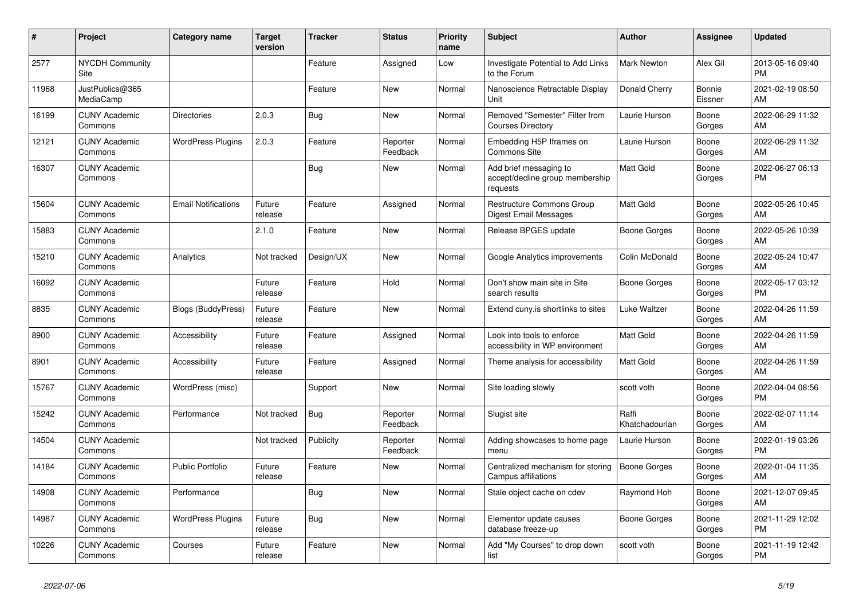| #     | Project                         | <b>Category name</b>       | <b>Target</b><br>version | <b>Tracker</b> | <b>Status</b>        | <b>Priority</b><br>name | <b>Subject</b>                                                        | <b>Author</b>           | <b>Assignee</b>   | <b>Updated</b>                |
|-------|---------------------------------|----------------------------|--------------------------|----------------|----------------------|-------------------------|-----------------------------------------------------------------------|-------------------------|-------------------|-------------------------------|
| 2577  | <b>NYCDH Community</b><br>Site  |                            |                          | Feature        | Assigned             | Low                     | Investigate Potential to Add Links<br>to the Forum                    | <b>Mark Newton</b>      | Alex Gil          | 2013-05-16 09:40<br><b>PM</b> |
| 11968 | JustPublics@365<br>MediaCamp    |                            |                          | Feature        | New                  | Normal                  | Nanoscience Retractable Display<br>Unit                               | Donald Cherry           | Bonnie<br>Eissner | 2021-02-19 08:50<br>AM        |
| 16199 | <b>CUNY Academic</b><br>Commons | Directories                | 2.0.3                    | Bug            | <b>New</b>           | Normal                  | Removed "Semester" Filter from<br><b>Courses Directory</b>            | Laurie Hurson           | Boone<br>Gorges   | 2022-06-29 11:32<br>AM        |
| 12121 | <b>CUNY Academic</b><br>Commons | <b>WordPress Plugins</b>   | 2.0.3                    | Feature        | Reporter<br>Feedback | Normal                  | Embedding H5P Iframes on<br><b>Commons Site</b>                       | Laurie Hurson           | Boone<br>Gorges   | 2022-06-29 11:32<br>AM        |
| 16307 | <b>CUNY Academic</b><br>Commons |                            |                          | Bug            | New                  | Normal                  | Add brief messaging to<br>accept/decline group membership<br>requests | <b>Matt Gold</b>        | Boone<br>Gorges   | 2022-06-27 06:13<br><b>PM</b> |
| 15604 | <b>CUNY Academic</b><br>Commons | <b>Email Notifications</b> | Future<br>release        | Feature        | Assigned             | Normal                  | <b>Restructure Commons Group</b><br>Digest Email Messages             | <b>Matt Gold</b>        | Boone<br>Gorges   | 2022-05-26 10:45<br>AM        |
| 15883 | <b>CUNY Academic</b><br>Commons |                            | 2.1.0                    | Feature        | New                  | Normal                  | Release BPGES update                                                  | Boone Gorges            | Boone<br>Gorges   | 2022-05-26 10:39<br>AM        |
| 15210 | <b>CUNY Academic</b><br>Commons | Analytics                  | Not tracked              | Design/UX      | <b>New</b>           | Normal                  | Google Analytics improvements                                         | Colin McDonald          | Boone<br>Gorges   | 2022-05-24 10:47<br>AM        |
| 16092 | <b>CUNY Academic</b><br>Commons |                            | Future<br>release        | Feature        | Hold                 | Normal                  | Don't show main site in Site<br>search results                        | Boone Gorges            | Boone<br>Gorges   | 2022-05-17 03:12<br><b>PM</b> |
| 8835  | <b>CUNY Academic</b><br>Commons | <b>Blogs (BuddyPress)</b>  | Future<br>release        | Feature        | New                  | Normal                  | Extend cuny.is shortlinks to sites                                    | Luke Waltzer            | Boone<br>Gorges   | 2022-04-26 11:59<br>AM        |
| 8900  | <b>CUNY Academic</b><br>Commons | Accessibility              | Future<br>release        | Feature        | Assigned             | Normal                  | Look into tools to enforce<br>accessibility in WP environment         | <b>Matt Gold</b>        | Boone<br>Gorges   | 2022-04-26 11:59<br>AM        |
| 8901  | <b>CUNY Academic</b><br>Commons | Accessibility              | Future<br>release        | Feature        | Assigned             | Normal                  | Theme analysis for accessibility                                      | <b>Matt Gold</b>        | Boone<br>Gorges   | 2022-04-26 11:59<br>AM        |
| 15767 | <b>CUNY Academic</b><br>Commons | WordPress (misc)           |                          | Support        | New                  | Normal                  | Site loading slowly                                                   | scott voth              | Boone<br>Gorges   | 2022-04-04 08:56<br><b>PM</b> |
| 15242 | <b>CUNY Academic</b><br>Commons | Performance                | Not tracked              | Bug            | Reporter<br>Feedback | Normal                  | Slugist site                                                          | Raffi<br>Khatchadourian | Boone<br>Gorges   | 2022-02-07 11:14<br>AM        |
| 14504 | <b>CUNY Academic</b><br>Commons |                            | Not tracked              | Publicity      | Reporter<br>Feedback | Normal                  | Adding showcases to home page<br>menu                                 | Laurie Hurson           | Boone<br>Gorges   | 2022-01-19 03:26<br><b>PM</b> |
| 14184 | <b>CUNY Academic</b><br>Commons | <b>Public Portfolio</b>    | Future<br>release        | Feature        | <b>New</b>           | Normal                  | Centralized mechanism for storing<br>Campus affiliations              | <b>Boone Gorges</b>     | Boone<br>Gorges   | 2022-01-04 11:35<br>AM        |
| 14908 | <b>CUNY Academic</b><br>Commons | Performance                |                          | <b>Bug</b>     | <b>New</b>           | Normal                  | Stale object cache on cdev                                            | Raymond Hoh             | Boone<br>Gorges   | 2021-12-07 09:45<br>AM        |
| 14987 | <b>CUNY Academic</b><br>Commons | <b>WordPress Plugins</b>   | Future<br>release        | Bug            | New                  | Normal                  | Elementor update causes<br>database freeze-up                         | Boone Gorges            | Boone<br>Gorges   | 2021-11-29 12:02<br><b>PM</b> |
| 10226 | <b>CUNY Academic</b><br>Commons | Courses                    | Future<br>release        | Feature        | <b>New</b>           | Normal                  | Add "My Courses" to drop down<br>list                                 | scott voth              | Boone<br>Gorges   | 2021-11-19 12:42<br><b>PM</b> |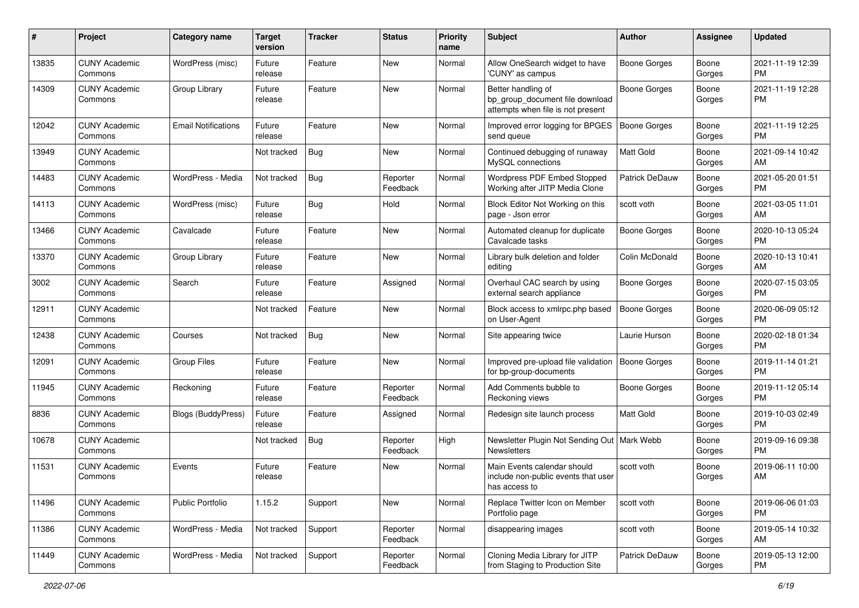| #     | Project                         | <b>Category name</b>       | <b>Target</b><br>version | <b>Tracker</b> | <b>Status</b>        | <b>Priority</b><br>name | Subject                                                                                    | Author              | <b>Assignee</b> | <b>Updated</b>                |
|-------|---------------------------------|----------------------------|--------------------------|----------------|----------------------|-------------------------|--------------------------------------------------------------------------------------------|---------------------|-----------------|-------------------------------|
| 13835 | <b>CUNY Academic</b><br>Commons | WordPress (misc)           | Future<br>release        | Feature        | New                  | Normal                  | Allow OneSearch widget to have<br>'CUNY' as campus                                         | <b>Boone Gorges</b> | Boone<br>Gorges | 2021-11-19 12:39<br>PM        |
| 14309 | <b>CUNY Academic</b><br>Commons | Group Library              | Future<br>release        | Feature        | New                  | Normal                  | Better handling of<br>bp_group_document file download<br>attempts when file is not present | <b>Boone Gorges</b> | Boone<br>Gorges | 2021-11-19 12:28<br><b>PM</b> |
| 12042 | <b>CUNY Academic</b><br>Commons | <b>Email Notifications</b> | Future<br>release        | Feature        | New                  | Normal                  | Improved error logging for BPGES<br>send queue                                             | <b>Boone Gorges</b> | Boone<br>Gorges | 2021-11-19 12:25<br>PM        |
| 13949 | <b>CUNY Academic</b><br>Commons |                            | Not tracked              | <b>Bug</b>     | New                  | Normal                  | Continued debugging of runaway<br>MySQL connections                                        | <b>Matt Gold</b>    | Boone<br>Gorges | 2021-09-14 10:42<br>AM        |
| 14483 | <b>CUNY Academic</b><br>Commons | WordPress - Media          | Not tracked              | <b>Bug</b>     | Reporter<br>Feedback | Normal                  | Wordpress PDF Embed Stopped<br>Working after JITP Media Clone                              | Patrick DeDauw      | Boone<br>Gorges | 2021-05-20 01:51<br><b>PM</b> |
| 14113 | <b>CUNY Academic</b><br>Commons | WordPress (misc)           | Future<br>release        | <b>Bug</b>     | Hold                 | Normal                  | Block Editor Not Working on this<br>page - Json error                                      | scott voth          | Boone<br>Gorges | 2021-03-05 11:01<br>AM        |
| 13466 | <b>CUNY Academic</b><br>Commons | Cavalcade                  | Future<br>release        | Feature        | New                  | Normal                  | Automated cleanup for duplicate<br>Cavalcade tasks                                         | <b>Boone Gorges</b> | Boone<br>Gorges | 2020-10-13 05:24<br>PM        |
| 13370 | <b>CUNY Academic</b><br>Commons | Group Library              | Future<br>release        | Feature        | New                  | Normal                  | Library bulk deletion and folder<br>editing                                                | Colin McDonald      | Boone<br>Gorges | 2020-10-13 10:41<br>AM        |
| 3002  | <b>CUNY Academic</b><br>Commons | Search                     | Future<br>release        | Feature        | Assigned             | Normal                  | Overhaul CAC search by using<br>external search appliance                                  | <b>Boone Gorges</b> | Boone<br>Gorges | 2020-07-15 03:05<br>PM        |
| 12911 | <b>CUNY Academic</b><br>Commons |                            | Not tracked              | Feature        | New                  | Normal                  | Block access to xmlrpc.php based<br>on User-Agent                                          | <b>Boone Gorges</b> | Boone<br>Gorges | 2020-06-09 05:12<br>PM        |
| 12438 | <b>CUNY Academic</b><br>Commons | Courses                    | Not tracked              | <b>Bug</b>     | New                  | Normal                  | Site appearing twice                                                                       | Laurie Hurson       | Boone<br>Gorges | 2020-02-18 01:34<br>PM        |
| 12091 | <b>CUNY Academic</b><br>Commons | <b>Group Files</b>         | Future<br>release        | Feature        | New                  | Normal                  | Improved pre-upload file validation<br>for bp-group-documents                              | <b>Boone Gorges</b> | Boone<br>Gorges | 2019-11-14 01:21<br>PM        |
| 11945 | <b>CUNY Academic</b><br>Commons | Reckoning                  | Future<br>release        | Feature        | Reporter<br>Feedback | Normal                  | Add Comments bubble to<br>Reckoning views                                                  | Boone Gorges        | Boone<br>Gorges | 2019-11-12 05:14<br>PM        |
| 8836  | <b>CUNY Academic</b><br>Commons | <b>Blogs (BuddyPress)</b>  | Future<br>release        | Feature        | Assigned             | Normal                  | Redesign site launch process                                                               | <b>Matt Gold</b>    | Boone<br>Gorges | 2019-10-03 02:49<br>PM        |
| 10678 | <b>CUNY Academic</b><br>Commons |                            | Not tracked              | <b>Bug</b>     | Reporter<br>Feedback | High                    | Newsletter Plugin Not Sending Out   Mark Webb<br><b>Newsletters</b>                        |                     | Boone<br>Gorges | 2019-09-16 09:38<br>PM        |
| 11531 | <b>CUNY Academic</b><br>Commons | Events                     | Future<br>release        | Feature        | New                  | Normal                  | Main Events calendar should<br>include non-public events that user<br>has access to        | scott voth          | Boone<br>Gorges | 2019-06-11 10:00<br>AM        |
| 11496 | <b>CUNY Academic</b><br>Commons | Public Portfolio           | 1.15.2                   | Support        | New                  | Normal                  | Replace Twitter Icon on Member<br>Portfolio page                                           | scott voth          | Boone<br>Gorges | 2019-06-06 01:03<br>PM        |
| 11386 | <b>CUNY Academic</b><br>Commons | WordPress - Media          | Not tracked              | Support        | Reporter<br>Feedback | Normal                  | disappearing images                                                                        | scott voth          | Boone<br>Gorges | 2019-05-14 10:32<br>AM        |
| 11449 | <b>CUNY Academic</b><br>Commons | WordPress - Media          | Not tracked              | Support        | Reporter<br>Feedback | Normal                  | Cloning Media Library for JITP<br>from Staging to Production Site                          | Patrick DeDauw      | Boone<br>Gorges | 2019-05-13 12:00<br>PM        |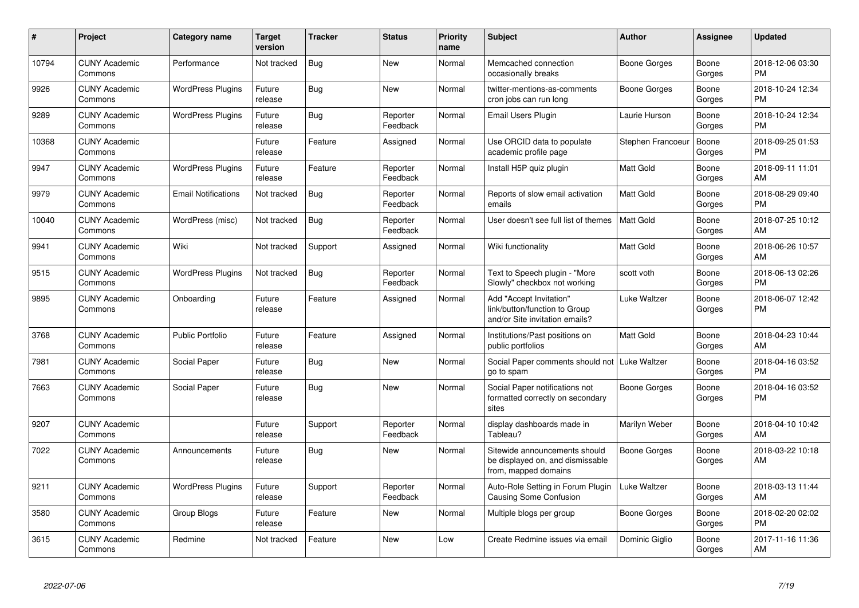| #     | <b>Project</b>                  | <b>Category name</b>       | <b>Target</b><br>version | <b>Tracker</b> | <b>Status</b>        | <b>Priority</b><br>name | <b>Subject</b>                                                                             | <b>Author</b>     | Assignee        | <b>Updated</b>                |
|-------|---------------------------------|----------------------------|--------------------------|----------------|----------------------|-------------------------|--------------------------------------------------------------------------------------------|-------------------|-----------------|-------------------------------|
| 10794 | <b>CUNY Academic</b><br>Commons | Performance                | Not tracked              | Bug            | <b>New</b>           | Normal                  | Memcached connection<br>occasionally breaks                                                | Boone Gorges      | Boone<br>Gorges | 2018-12-06 03:30<br><b>PM</b> |
| 9926  | <b>CUNY Academic</b><br>Commons | <b>WordPress Plugins</b>   | Future<br>release        | Bug            | <b>New</b>           | Normal                  | twitter-mentions-as-comments<br>cron jobs can run long                                     | Boone Gorges      | Boone<br>Gorges | 2018-10-24 12:34<br><b>PM</b> |
| 9289  | <b>CUNY Academic</b><br>Commons | <b>WordPress Plugins</b>   | Future<br>release        | Bug            | Reporter<br>Feedback | Normal                  | Email Users Plugin                                                                         | Laurie Hurson     | Boone<br>Gorges | 2018-10-24 12:34<br><b>PM</b> |
| 10368 | <b>CUNY Academic</b><br>Commons |                            | Future<br>release        | Feature        | Assigned             | Normal                  | Use ORCID data to populate<br>academic profile page                                        | Stephen Francoeur | Boone<br>Gorges | 2018-09-25 01:53<br><b>PM</b> |
| 9947  | <b>CUNY Academic</b><br>Commons | <b>WordPress Plugins</b>   | Future<br>release        | Feature        | Reporter<br>Feedback | Normal                  | Install H5P quiz plugin                                                                    | Matt Gold         | Boone<br>Gorges | 2018-09-11 11:01<br>AM        |
| 9979  | <b>CUNY Academic</b><br>Commons | <b>Email Notifications</b> | Not tracked              | Bug            | Reporter<br>Feedback | Normal                  | Reports of slow email activation<br>emails                                                 | <b>Matt Gold</b>  | Boone<br>Gorges | 2018-08-29 09:40<br><b>PM</b> |
| 10040 | <b>CUNY Academic</b><br>Commons | WordPress (misc)           | Not tracked              | <b>Bug</b>     | Reporter<br>Feedback | Normal                  | User doesn't see full list of themes                                                       | <b>Matt Gold</b>  | Boone<br>Gorges | 2018-07-25 10:12<br>AM        |
| 9941  | <b>CUNY Academic</b><br>Commons | Wiki                       | Not tracked              | Support        | Assigned             | Normal                  | Wiki functionality                                                                         | Matt Gold         | Boone<br>Gorges | 2018-06-26 10:57<br>AM        |
| 9515  | <b>CUNY Academic</b><br>Commons | <b>WordPress Plugins</b>   | Not tracked              | Bug            | Reporter<br>Feedback | Normal                  | Text to Speech plugin - "More<br>Slowly" checkbox not working                              | scott voth        | Boone<br>Gorges | 2018-06-13 02:26<br><b>PM</b> |
| 9895  | <b>CUNY Academic</b><br>Commons | Onboarding                 | Future<br>release        | Feature        | Assigned             | Normal                  | Add "Accept Invitation"<br>link/button/function to Group<br>and/or Site invitation emails? | Luke Waltzer      | Boone<br>Gorges | 2018-06-07 12:42<br><b>PM</b> |
| 3768  | <b>CUNY Academic</b><br>Commons | Public Portfolio           | Future<br>release        | Feature        | Assigned             | Normal                  | Institutions/Past positions on<br>public portfolios                                        | <b>Matt Gold</b>  | Boone<br>Gorges | 2018-04-23 10:44<br>AM        |
| 7981  | <b>CUNY Academic</b><br>Commons | Social Paper               | Future<br>release        | <b>Bug</b>     | <b>New</b>           | Normal                  | Social Paper comments should not   Luke Waltzer<br>go to spam                              |                   | Boone<br>Gorges | 2018-04-16 03:52<br><b>PM</b> |
| 7663  | <b>CUNY Academic</b><br>Commons | Social Paper               | Future<br>release        | <b>Bug</b>     | <b>New</b>           | Normal                  | Social Paper notifications not<br>formatted correctly on secondary<br>sites                | Boone Gorges      | Boone<br>Gorges | 2018-04-16 03:52<br><b>PM</b> |
| 9207  | <b>CUNY Academic</b><br>Commons |                            | Future<br>release        | Support        | Reporter<br>Feedback | Normal                  | display dashboards made in<br>Tableau?                                                     | Marilyn Weber     | Boone<br>Gorges | 2018-04-10 10:42<br>AM        |
| 7022  | <b>CUNY Academic</b><br>Commons | Announcements              | Future<br>release        | Bug            | New                  | Normal                  | Sitewide announcements should<br>be displayed on, and dismissable<br>from, mapped domains  | Boone Gorges      | Boone<br>Gorges | 2018-03-22 10:18<br>AM        |
| 9211  | <b>CUNY Academic</b><br>Commons | <b>WordPress Plugins</b>   | Future<br>release        | Support        | Reporter<br>Feedback | Normal                  | Auto-Role Setting in Forum Plugin<br><b>Causing Some Confusion</b>                         | Luke Waltzer      | Boone<br>Gorges | 2018-03-13 11:44<br>AM        |
| 3580  | <b>CUNY Academic</b><br>Commons | <b>Group Blogs</b>         | Future<br>release        | Feature        | <b>New</b>           | Normal                  | Multiple blogs per group                                                                   | Boone Gorges      | Boone<br>Gorges | 2018-02-20 02:02<br><b>PM</b> |
| 3615  | <b>CUNY Academic</b><br>Commons | Redmine                    | Not tracked              | Feature        | <b>New</b>           | Low                     | Create Redmine issues via email                                                            | Dominic Giglio    | Boone<br>Gorges | 2017-11-16 11:36<br>AM        |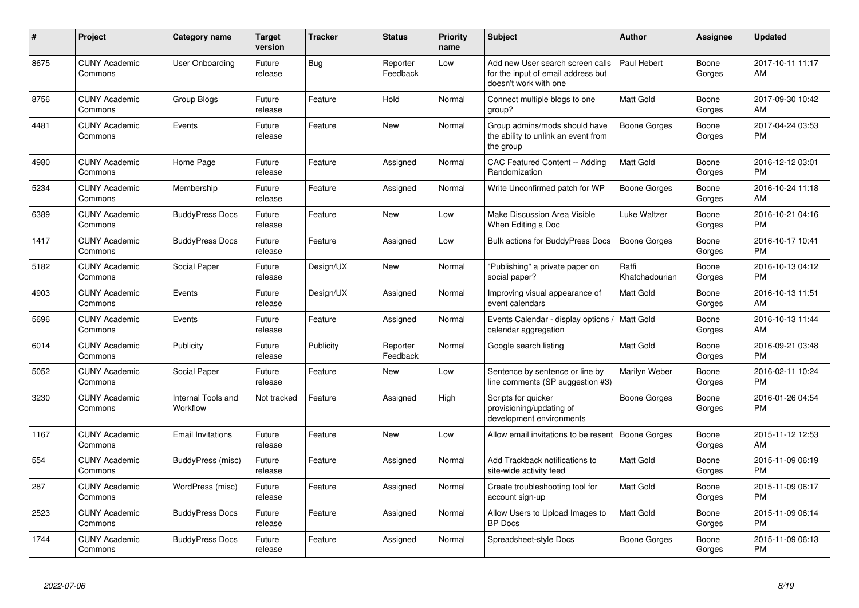| #    | Project                         | <b>Category name</b>           | <b>Target</b><br>version | <b>Tracker</b> | <b>Status</b>        | <b>Priority</b><br>name | <b>Subject</b>                                                                                  | <b>Author</b>           | <b>Assignee</b> | <b>Updated</b>                |
|------|---------------------------------|--------------------------------|--------------------------|----------------|----------------------|-------------------------|-------------------------------------------------------------------------------------------------|-------------------------|-----------------|-------------------------------|
| 8675 | <b>CUNY Academic</b><br>Commons | <b>User Onboarding</b>         | Future<br>release        | Bug            | Reporter<br>Feedback | Low                     | Add new User search screen calls<br>for the input of email address but<br>doesn't work with one | Paul Hebert             | Boone<br>Gorges | 2017-10-11 11:17<br>AM        |
| 8756 | <b>CUNY Academic</b><br>Commons | Group Blogs                    | Future<br>release        | Feature        | Hold                 | Normal                  | Connect multiple blogs to one<br>group?                                                         | <b>Matt Gold</b>        | Boone<br>Gorges | 2017-09-30 10:42<br>AM        |
| 4481 | <b>CUNY Academic</b><br>Commons | Events                         | Future<br>release        | Feature        | New                  | Normal                  | Group admins/mods should have<br>the ability to unlink an event from<br>the group               | <b>Boone Gorges</b>     | Boone<br>Gorges | 2017-04-24 03:53<br><b>PM</b> |
| 4980 | <b>CUNY Academic</b><br>Commons | Home Page                      | Future<br>release        | Feature        | Assigned             | Normal                  | CAC Featured Content -- Adding<br>Randomization                                                 | <b>Matt Gold</b>        | Boone<br>Gorges | 2016-12-12 03:01<br><b>PM</b> |
| 5234 | <b>CUNY Academic</b><br>Commons | Membership                     | Future<br>release        | Feature        | Assigned             | Normal                  | Write Unconfirmed patch for WP                                                                  | Boone Gorges            | Boone<br>Gorges | 2016-10-24 11:18<br>AM        |
| 6389 | <b>CUNY Academic</b><br>Commons | <b>BuddyPress Docs</b>         | Future<br>release        | Feature        | New                  | Low                     | Make Discussion Area Visible<br>When Editing a Doc                                              | Luke Waltzer            | Boone<br>Gorges | 2016-10-21 04:16<br><b>PM</b> |
| 1417 | <b>CUNY Academic</b><br>Commons | <b>BuddyPress Docs</b>         | Future<br>release        | Feature        | Assigned             | Low                     | <b>Bulk actions for BuddyPress Docs</b>                                                         | <b>Boone Gorges</b>     | Boone<br>Gorges | 2016-10-17 10:41<br><b>PM</b> |
| 5182 | <b>CUNY Academic</b><br>Commons | Social Paper                   | Future<br>release        | Design/UX      | New                  | Normal                  | "Publishing" a private paper on<br>social paper?                                                | Raffi<br>Khatchadourian | Boone<br>Gorges | 2016-10-13 04:12<br><b>PM</b> |
| 4903 | <b>CUNY Academic</b><br>Commons | Events                         | Future<br>release        | Design/UX      | Assigned             | Normal                  | Improving visual appearance of<br>event calendars                                               | <b>Matt Gold</b>        | Boone<br>Gorges | 2016-10-13 11:51<br>AM        |
| 5696 | <b>CUNY Academic</b><br>Commons | Events                         | Future<br>release        | Feature        | Assigned             | Normal                  | Events Calendar - display options /<br>calendar aggregation                                     | Matt Gold               | Boone<br>Gorges | 2016-10-13 11:44<br>AM        |
| 6014 | <b>CUNY Academic</b><br>Commons | Publicity                      | Future<br>release        | Publicity      | Reporter<br>Feedback | Normal                  | Google search listing                                                                           | <b>Matt Gold</b>        | Boone<br>Gorges | 2016-09-21 03:48<br><b>PM</b> |
| 5052 | <b>CUNY Academic</b><br>Commons | Social Paper                   | Future<br>release        | Feature        | New                  | Low                     | Sentence by sentence or line by<br>line comments (SP suggestion #3)                             | Marilyn Weber           | Boone<br>Gorges | 2016-02-11 10:24<br><b>PM</b> |
| 3230 | <b>CUNY Academic</b><br>Commons | Internal Tools and<br>Workflow | Not tracked              | Feature        | Assigned             | High                    | Scripts for quicker<br>provisioning/updating of<br>development environments                     | Boone Gorges            | Boone<br>Gorges | 2016-01-26 04:54<br><b>PM</b> |
| 1167 | <b>CUNY Academic</b><br>Commons | <b>Email Invitations</b>       | Future<br>release        | Feature        | New                  | Low                     | Allow email invitations to be resent                                                            | <b>Boone Gorges</b>     | Boone<br>Gorges | 2015-11-12 12:53<br>AM        |
| 554  | <b>CUNY Academic</b><br>Commons | BuddyPress (misc)              | Future<br>release        | Feature        | Assigned             | Normal                  | Add Trackback notifications to<br>site-wide activity feed                                       | <b>Matt Gold</b>        | Boone<br>Gorges | 2015-11-09 06:19<br><b>PM</b> |
| 287  | <b>CUNY Academic</b><br>Commons | WordPress (misc)               | Future<br>release        | Feature        | Assigned             | Normal                  | Create troubleshooting tool for<br>account sign-up                                              | <b>Matt Gold</b>        | Boone<br>Gorges | 2015-11-09 06:17<br><b>PM</b> |
| 2523 | <b>CUNY Academic</b><br>Commons | <b>BuddyPress Docs</b>         | Future<br>release        | Feature        | Assigned             | Normal                  | Allow Users to Upload Images to<br><b>BP</b> Docs                                               | <b>Matt Gold</b>        | Boone<br>Gorges | 2015-11-09 06:14<br><b>PM</b> |
| 1744 | <b>CUNY Academic</b><br>Commons | <b>BuddyPress Docs</b>         | Future<br>release        | Feature        | Assigned             | Normal                  | Spreadsheet-style Docs                                                                          | Boone Gorges            | Boone<br>Gorges | 2015-11-09 06:13<br><b>PM</b> |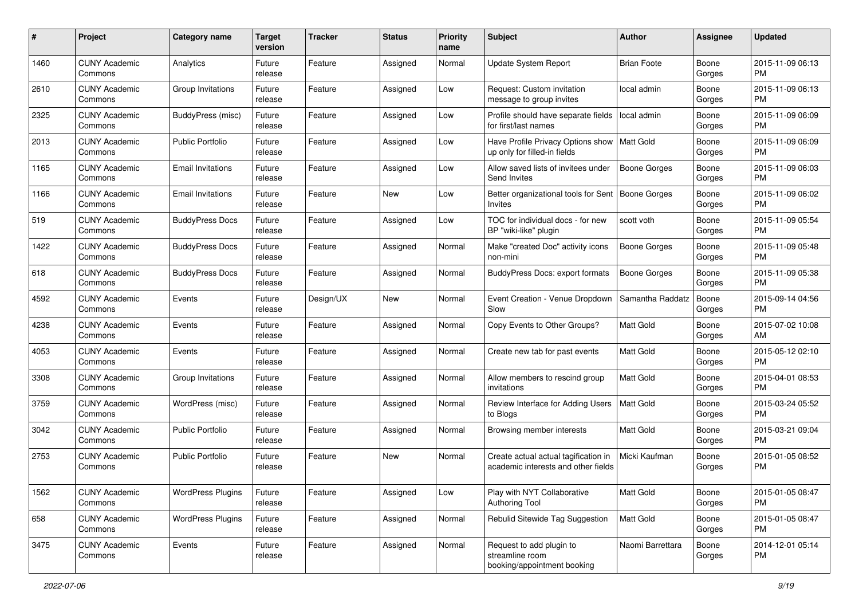| #    | Project                         | <b>Category name</b>     | <b>Target</b><br>version | <b>Tracker</b> | <b>Status</b> | Priority<br>name | <b>Subject</b>                                                              | Author              | <b>Assignee</b> | <b>Updated</b>                |
|------|---------------------------------|--------------------------|--------------------------|----------------|---------------|------------------|-----------------------------------------------------------------------------|---------------------|-----------------|-------------------------------|
| 1460 | <b>CUNY Academic</b><br>Commons | Analytics                | Future<br>release        | Feature        | Assigned      | Normal           | Update System Report                                                        | <b>Brian Foote</b>  | Boone<br>Gorges | 2015-11-09 06:13<br><b>PM</b> |
| 2610 | <b>CUNY Academic</b><br>Commons | Group Invitations        | Future<br>release        | Feature        | Assigned      | Low              | Request: Custom invitation<br>message to group invites                      | local admin         | Boone<br>Gorges | 2015-11-09 06:13<br><b>PM</b> |
| 2325 | <b>CUNY Academic</b><br>Commons | BuddyPress (misc)        | Future<br>release        | Feature        | Assigned      | Low              | Profile should have separate fields<br>for first/last names                 | local admin         | Boone<br>Gorges | 2015-11-09 06:09<br><b>PM</b> |
| 2013 | <b>CUNY Academic</b><br>Commons | <b>Public Portfolio</b>  | Future<br>release        | Feature        | Assigned      | Low              | Have Profile Privacy Options show<br>up only for filled-in fields           | Matt Gold           | Boone<br>Gorges | 2015-11-09 06:09<br><b>PM</b> |
| 1165 | <b>CUNY Academic</b><br>Commons | <b>Email Invitations</b> | Future<br>release        | Feature        | Assigned      | Low              | Allow saved lists of invitees under<br>Send Invites                         | Boone Gorges        | Boone<br>Gorges | 2015-11-09 06:03<br><b>PM</b> |
| 1166 | <b>CUNY Academic</b><br>Commons | <b>Email Invitations</b> | Future<br>release        | Feature        | New           | Low              | Better organizational tools for Sent<br>Invites                             | Boone Gorges        | Boone<br>Gorges | 2015-11-09 06:02<br><b>PM</b> |
| 519  | <b>CUNY Academic</b><br>Commons | <b>BuddyPress Docs</b>   | Future<br>release        | Feature        | Assigned      | Low              | TOC for individual docs - for new<br>BP "wiki-like" plugin                  | scott voth          | Boone<br>Gorges | 2015-11-09 05:54<br><b>PM</b> |
| 1422 | <b>CUNY Academic</b><br>Commons | <b>BuddyPress Docs</b>   | Future<br>release        | Feature        | Assigned      | Normal           | Make "created Doc" activity icons<br>non-mini                               | <b>Boone Gorges</b> | Boone<br>Gorges | 2015-11-09 05:48<br><b>PM</b> |
| 618  | <b>CUNY Academic</b><br>Commons | <b>BuddyPress Docs</b>   | Future<br>release        | Feature        | Assigned      | Normal           | <b>BuddyPress Docs: export formats</b>                                      | <b>Boone Gorges</b> | Boone<br>Gorges | 2015-11-09 05:38<br><b>PM</b> |
| 4592 | <b>CUNY Academic</b><br>Commons | Events                   | Future<br>release        | Design/UX      | New           | Normal           | Event Creation - Venue Dropdown<br>Slow                                     | Samantha Raddatz    | Boone<br>Gorges | 2015-09-14 04:56<br><b>PM</b> |
| 4238 | <b>CUNY Academic</b><br>Commons | Events                   | Future<br>release        | Feature        | Assigned      | Normal           | Copy Events to Other Groups?                                                | Matt Gold           | Boone<br>Gorges | 2015-07-02 10:08<br>AM        |
| 4053 | <b>CUNY Academic</b><br>Commons | Events                   | Future<br>release        | Feature        | Assigned      | Normal           | Create new tab for past events                                              | <b>Matt Gold</b>    | Boone<br>Gorges | 2015-05-12 02:10<br><b>PM</b> |
| 3308 | <b>CUNY Academic</b><br>Commons | Group Invitations        | Future<br>release        | Feature        | Assigned      | Normal           | Allow members to rescind group<br>invitations                               | Matt Gold           | Boone<br>Gorges | 2015-04-01 08:53<br><b>PM</b> |
| 3759 | <b>CUNY Academic</b><br>Commons | WordPress (misc)         | Future<br>release        | Feature        | Assigned      | Normal           | Review Interface for Adding Users<br>to Blogs                               | Matt Gold           | Boone<br>Gorges | 2015-03-24 05:52<br><b>PM</b> |
| 3042 | <b>CUNY Academic</b><br>Commons | Public Portfolio         | Future<br>release        | Feature        | Assigned      | Normal           | Browsing member interests                                                   | <b>Matt Gold</b>    | Boone<br>Gorges | 2015-03-21 09:04<br><b>PM</b> |
| 2753 | <b>CUNY Academic</b><br>Commons | <b>Public Portfolio</b>  | Future<br>release        | Feature        | New           | Normal           | Create actual actual tagification in<br>academic interests and other fields | Micki Kaufman       | Boone<br>Gorges | 2015-01-05 08:52<br><b>PM</b> |
| 1562 | <b>CUNY Academic</b><br>Commons | <b>WordPress Plugins</b> | Future<br>release        | Feature        | Assigned      | Low              | Play with NYT Collaborative<br><b>Authoring Tool</b>                        | Matt Gold           | Boone<br>Gorges | 2015-01-05 08:47<br><b>PM</b> |
| 658  | <b>CUNY Academic</b><br>Commons | <b>WordPress Plugins</b> | Future<br>release        | Feature        | Assigned      | Normal           | Rebulid Sitewide Tag Suggestion                                             | Matt Gold           | Boone<br>Gorges | 2015-01-05 08:47<br><b>PM</b> |
| 3475 | <b>CUNY Academic</b><br>Commons | Events                   | Future<br>release        | Feature        | Assigned      | Normal           | Request to add plugin to<br>streamline room<br>booking/appointment booking  | Naomi Barrettara    | Boone<br>Gorges | 2014-12-01 05:14<br>PM        |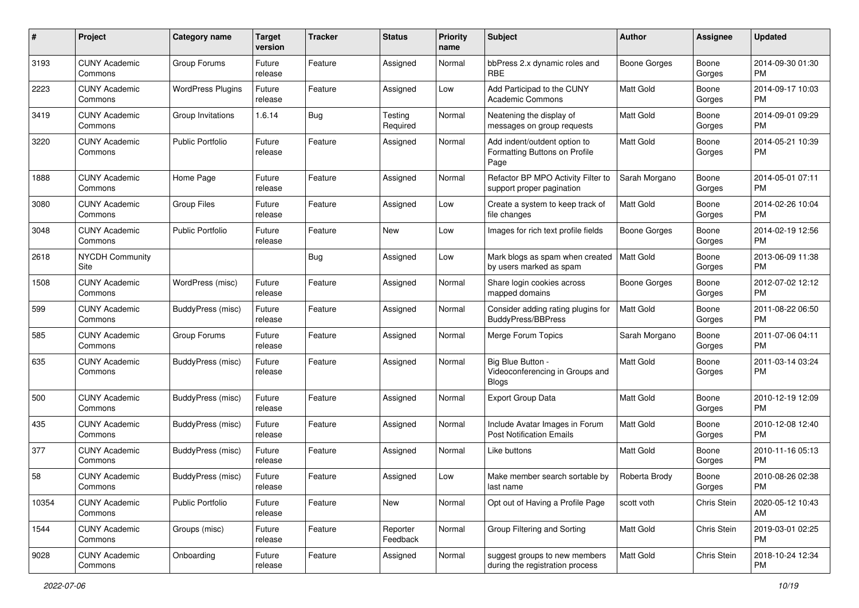| #     | Project                         | <b>Category name</b>     | <b>Target</b><br>version | <b>Tracker</b> | <b>Status</b>        | <b>Priority</b><br>name | <b>Subject</b>                                                        | Author              | <b>Assignee</b> | <b>Updated</b>                |
|-------|---------------------------------|--------------------------|--------------------------|----------------|----------------------|-------------------------|-----------------------------------------------------------------------|---------------------|-----------------|-------------------------------|
| 3193  | <b>CUNY Academic</b><br>Commons | Group Forums             | Future<br>release        | Feature        | Assigned             | Normal                  | bbPress 2.x dynamic roles and<br>RBE                                  | <b>Boone Gorges</b> | Boone<br>Gorges | 2014-09-30 01:30<br><b>PM</b> |
| 2223  | <b>CUNY Academic</b><br>Commons | <b>WordPress Plugins</b> | Future<br>release        | Feature        | Assigned             | Low                     | Add Participad to the CUNY<br>Academic Commons                        | Matt Gold           | Boone<br>Gorges | 2014-09-17 10:03<br><b>PM</b> |
| 3419  | <b>CUNY Academic</b><br>Commons | Group Invitations        | 1.6.14                   | <b>Bug</b>     | Testing<br>Required  | Normal                  | Neatening the display of<br>messages on group requests                | <b>Matt Gold</b>    | Boone<br>Gorges | 2014-09-01 09:29<br><b>PM</b> |
| 3220  | <b>CUNY Academic</b><br>Commons | <b>Public Portfolio</b>  | Future<br>release        | Feature        | Assigned             | Normal                  | Add indent/outdent option to<br>Formatting Buttons on Profile<br>Page | <b>Matt Gold</b>    | Boone<br>Gorges | 2014-05-21 10:39<br>PM        |
| 1888  | <b>CUNY Academic</b><br>Commons | Home Page                | Future<br>release        | Feature        | Assigned             | Normal                  | Refactor BP MPO Activity Filter to<br>support proper pagination       | Sarah Morgano       | Boone<br>Gorges | 2014-05-01 07:11<br><b>PM</b> |
| 3080  | <b>CUNY Academic</b><br>Commons | Group Files              | Future<br>release        | Feature        | Assigned             | Low                     | Create a system to keep track of<br>file changes                      | Matt Gold           | Boone<br>Gorges | 2014-02-26 10:04<br><b>PM</b> |
| 3048  | <b>CUNY Academic</b><br>Commons | <b>Public Portfolio</b>  | Future<br>release        | Feature        | New                  | Low                     | Images for rich text profile fields                                   | Boone Gorges        | Boone<br>Gorges | 2014-02-19 12:56<br><b>PM</b> |
| 2618  | <b>NYCDH Community</b><br>Site  |                          |                          | <b>Bug</b>     | Assigned             | Low                     | Mark blogs as spam when created<br>by users marked as spam            | Matt Gold           | Boone<br>Gorges | 2013-06-09 11:38<br><b>PM</b> |
| 1508  | <b>CUNY Academic</b><br>Commons | WordPress (misc)         | Future<br>release        | Feature        | Assigned             | Normal                  | Share login cookies across<br>mapped domains                          | <b>Boone Gorges</b> | Boone<br>Gorges | 2012-07-02 12:12<br><b>PM</b> |
| 599   | <b>CUNY Academic</b><br>Commons | BuddyPress (misc)        | Future<br>release        | Feature        | Assigned             | Normal                  | Consider adding rating plugins for<br><b>BuddyPress/BBPress</b>       | <b>Matt Gold</b>    | Boone<br>Gorges | 2011-08-22 06:50<br><b>PM</b> |
| 585   | <b>CUNY Academic</b><br>Commons | Group Forums             | Future<br>release        | Feature        | Assigned             | Normal                  | Merge Forum Topics                                                    | Sarah Morgano       | Boone<br>Gorges | 2011-07-06 04:11<br><b>PM</b> |
| 635   | <b>CUNY Academic</b><br>Commons | BuddyPress (misc)        | Future<br>release        | Feature        | Assigned             | Normal                  | Big Blue Button -<br>Videoconferencing in Groups and<br><b>Blogs</b>  | <b>Matt Gold</b>    | Boone<br>Gorges | 2011-03-14 03:24<br><b>PM</b> |
| 500   | <b>CUNY Academic</b><br>Commons | BuddyPress (misc)        | Future<br>release        | Feature        | Assigned             | Normal                  | <b>Export Group Data</b>                                              | Matt Gold           | Boone<br>Gorges | 2010-12-19 12:09<br><b>PM</b> |
| 435   | <b>CUNY Academic</b><br>Commons | BuddyPress (misc)        | Future<br>release        | Feature        | Assigned             | Normal                  | Include Avatar Images in Forum<br><b>Post Notification Emails</b>     | Matt Gold           | Boone<br>Gorges | 2010-12-08 12:40<br><b>PM</b> |
| 377   | <b>CUNY Academic</b><br>Commons | BuddyPress (misc)        | Future<br>release        | Feature        | Assigned             | Normal                  | Like buttons                                                          | Matt Gold           | Boone<br>Gorges | 2010-11-16 05:13<br><b>PM</b> |
| 58    | <b>CUNY Academic</b><br>Commons | BuddyPress (misc)        | Future<br>release        | Feature        | Assigned             | Low                     | Make member search sortable by<br>last name                           | Roberta Brody       | Boone<br>Gorges | 2010-08-26 02:38<br>PM        |
| 10354 | <b>CUNY Academic</b><br>Commons | <b>Public Portfolio</b>  | Future<br>release        | Feature        | New                  | Normal                  | Opt out of Having a Profile Page                                      | scott voth          | Chris Stein     | 2020-05-12 10:43<br>AM        |
| 1544  | <b>CUNY Academic</b><br>Commons | Groups (misc)            | Future<br>release        | Feature        | Reporter<br>Feedback | Normal                  | Group Filtering and Sorting                                           | Matt Gold           | Chris Stein     | 2019-03-01 02:25<br><b>PM</b> |
| 9028  | <b>CUNY Academic</b><br>Commons | Onboarding               | Future<br>release        | Feature        | Assigned             | Normal                  | suggest groups to new members<br>during the registration process      | Matt Gold           | Chris Stein     | 2018-10-24 12:34<br><b>PM</b> |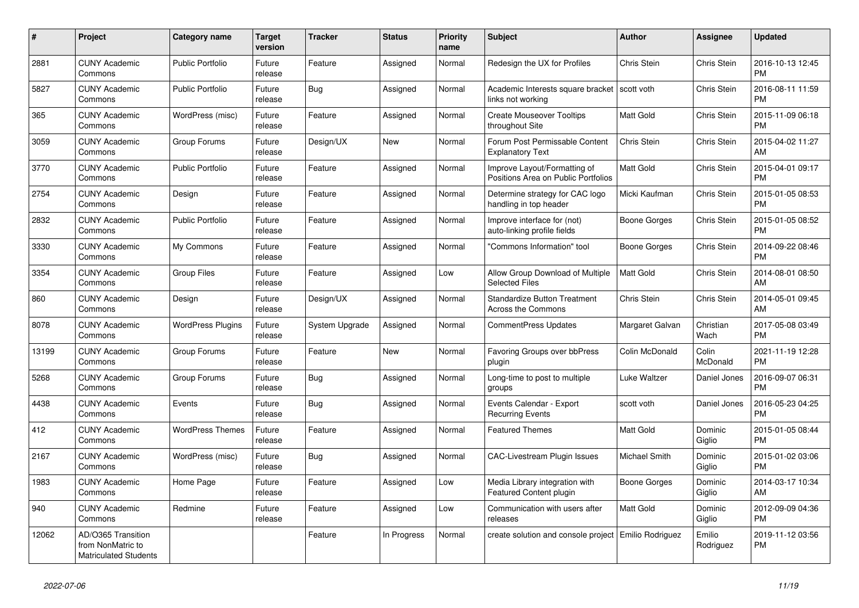| #     | <b>Project</b>                                                          | <b>Category name</b>     | <b>Target</b><br>version | <b>Tracker</b> | <b>Status</b> | <b>Priority</b><br>name | <b>Subject</b>                                                      | <b>Author</b>       | Assignee            | <b>Updated</b>                |
|-------|-------------------------------------------------------------------------|--------------------------|--------------------------|----------------|---------------|-------------------------|---------------------------------------------------------------------|---------------------|---------------------|-------------------------------|
| 2881  | <b>CUNY Academic</b><br>Commons                                         | <b>Public Portfolio</b>  | Future<br>release        | Feature        | Assigned      | Normal                  | Redesign the UX for Profiles                                        | Chris Stein         | Chris Stein         | 2016-10-13 12:45<br><b>PM</b> |
| 5827  | <b>CUNY Academic</b><br>Commons                                         | <b>Public Portfolio</b>  | Future<br>release        | Bug            | Assigned      | Normal                  | Academic Interests square bracket<br>links not working              | scott voth          | Chris Stein         | 2016-08-11 11:59<br><b>PM</b> |
| 365   | <b>CUNY Academic</b><br>Commons                                         | WordPress (misc)         | Future<br>release        | Feature        | Assigned      | Normal                  | <b>Create Mouseover Tooltips</b><br>throughout Site                 | <b>Matt Gold</b>    | Chris Stein         | 2015-11-09 06:18<br><b>PM</b> |
| 3059  | <b>CUNY Academic</b><br>Commons                                         | Group Forums             | Future<br>release        | Design/UX      | New           | Normal                  | Forum Post Permissable Content<br><b>Explanatory Text</b>           | Chris Stein         | Chris Stein         | 2015-04-02 11:27<br>AM        |
| 3770  | <b>CUNY Academic</b><br>Commons                                         | <b>Public Portfolio</b>  | Future<br>release        | Feature        | Assigned      | Normal                  | Improve Layout/Formatting of<br>Positions Area on Public Portfolios | Matt Gold           | Chris Stein         | 2015-04-01 09:17<br><b>PM</b> |
| 2754  | <b>CUNY Academic</b><br>Commons                                         | Design                   | Future<br>release        | Feature        | Assigned      | Normal                  | Determine strategy for CAC logo<br>handling in top header           | Micki Kaufman       | Chris Stein         | 2015-01-05 08:53<br><b>PM</b> |
| 2832  | <b>CUNY Academic</b><br>Commons                                         | <b>Public Portfolio</b>  | Future<br>release        | Feature        | Assigned      | Normal                  | Improve interface for (not)<br>auto-linking profile fields          | <b>Boone Gorges</b> | <b>Chris Stein</b>  | 2015-01-05 08:52<br><b>PM</b> |
| 3330  | <b>CUNY Academic</b><br>Commons                                         | My Commons               | Future<br>release        | Feature        | Assigned      | Normal                  | 'Commons Information" tool                                          | Boone Gorges        | Chris Stein         | 2014-09-22 08:46<br><b>PM</b> |
| 3354  | <b>CUNY Academic</b><br>Commons                                         | <b>Group Files</b>       | Future<br>release        | Feature        | Assigned      | Low                     | Allow Group Download of Multiple<br><b>Selected Files</b>           | <b>Matt Gold</b>    | Chris Stein         | 2014-08-01 08:50<br>AM        |
| 860   | <b>CUNY Academic</b><br>Commons                                         | Design                   | Future<br>release        | Design/UX      | Assigned      | Normal                  | <b>Standardize Button Treatment</b><br>Across the Commons           | Chris Stein         | Chris Stein         | 2014-05-01 09:45<br>AM        |
| 8078  | <b>CUNY Academic</b><br>Commons                                         | <b>WordPress Plugins</b> | Future<br>release        | System Upgrade | Assigned      | Normal                  | CommentPress Updates                                                | Margaret Galvan     | Christian<br>Wach   | 2017-05-08 03:49<br><b>PM</b> |
| 13199 | <b>CUNY Academic</b><br>Commons                                         | Group Forums             | Future<br>release        | Feature        | New           | Normal                  | Favoring Groups over bbPress<br>plugin                              | Colin McDonald      | Colin<br>McDonald   | 2021-11-19 12:28<br><b>PM</b> |
| 5268  | <b>CUNY Academic</b><br>Commons                                         | Group Forums             | Future<br>release        | <b>Bug</b>     | Assigned      | Normal                  | Long-time to post to multiple<br>groups                             | Luke Waltzer        | Daniel Jones        | 2016-09-07 06:31<br><b>PM</b> |
| 4438  | <b>CUNY Academic</b><br>Commons                                         | Events                   | Future<br>release        | <b>Bug</b>     | Assigned      | Normal                  | Events Calendar - Export<br><b>Recurring Events</b>                 | scott voth          | Daniel Jones        | 2016-05-23 04:25<br><b>PM</b> |
| 412   | <b>CUNY Academic</b><br>Commons                                         | <b>WordPress Themes</b>  | Future<br>release        | Feature        | Assigned      | Normal                  | <b>Featured Themes</b>                                              | <b>Matt Gold</b>    | Dominic<br>Giglio   | 2015-01-05 08:44<br><b>PM</b> |
| 2167  | <b>CUNY Academic</b><br>Commons                                         | WordPress (misc)         | Future<br>release        | <b>Bug</b>     | Assigned      | Normal                  | <b>CAC-Livestream Plugin Issues</b>                                 | Michael Smith       | Dominic<br>Giglio   | 2015-01-02 03:06<br><b>PM</b> |
| 1983  | <b>CUNY Academic</b><br>Commons                                         | Home Page                | Future<br>release        | Feature        | Assigned      | Low                     | Media Library integration with<br>Featured Content plugin           | Boone Gorges        | Dominic<br>Giglio   | 2014-03-17 10:34<br>AM        |
| 940   | <b>CUNY Academic</b><br>Commons                                         | Redmine                  | Future<br>release        | Feature        | Assigned      | Low                     | Communication with users after<br>releases                          | Matt Gold           | Dominic<br>Giglio   | 2012-09-09 04:36<br><b>PM</b> |
| 12062 | AD/O365 Transition<br>from NonMatric to<br><b>Matriculated Students</b> |                          |                          | Feature        | In Progress   | Normal                  | create solution and console project   Emilio Rodriguez              |                     | Emilio<br>Rodriguez | 2019-11-12 03:56<br><b>PM</b> |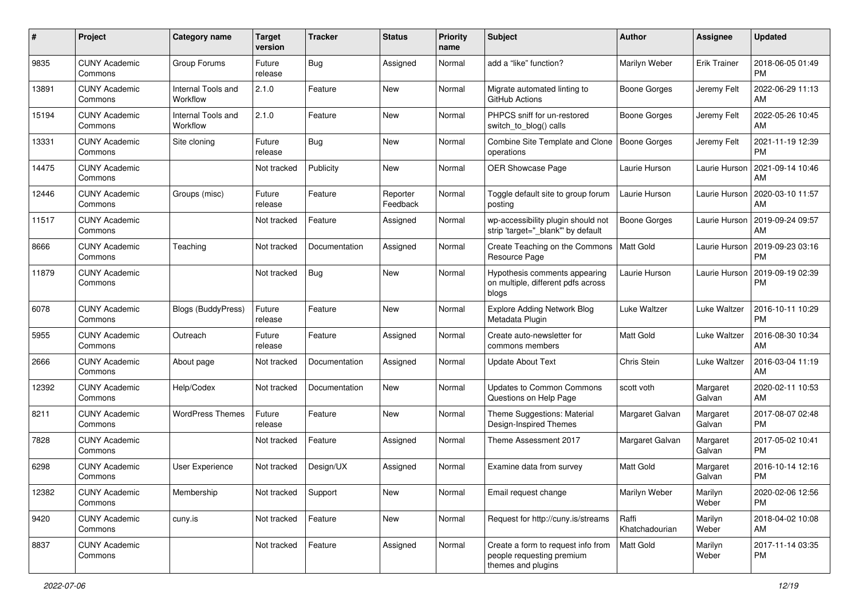| #     | Project                         | <b>Category name</b>           | <b>Target</b><br>version | <b>Tracker</b> | <b>Status</b>        | <b>Priority</b><br>name | <b>Subject</b>                                                                        | Author                  | <b>Assignee</b>     | <b>Updated</b>                |
|-------|---------------------------------|--------------------------------|--------------------------|----------------|----------------------|-------------------------|---------------------------------------------------------------------------------------|-------------------------|---------------------|-------------------------------|
| 9835  | <b>CUNY Academic</b><br>Commons | Group Forums                   | Future<br>release        | <b>Bug</b>     | Assigned             | Normal                  | add a "like" function?                                                                | Marilyn Weber           | <b>Erik Trainer</b> | 2018-06-05 01:49<br>PM        |
| 13891 | <b>CUNY Academic</b><br>Commons | Internal Tools and<br>Workflow | 2.1.0                    | Feature        | New                  | Normal                  | Migrate automated linting to<br>GitHub Actions                                        | <b>Boone Gorges</b>     | Jeremy Felt         | 2022-06-29 11:13<br>AM        |
| 15194 | <b>CUNY Academic</b><br>Commons | Internal Tools and<br>Workflow | 2.1.0                    | Feature        | New                  | Normal                  | PHPCS sniff for un-restored<br>switch_to_blog() calls                                 | Boone Gorges            | Jeremy Felt         | 2022-05-26 10:45<br>AM        |
| 13331 | <b>CUNY Academic</b><br>Commons | Site cloning                   | Future<br>release        | Bug            | New                  | Normal                  | Combine Site Template and Clone<br>operations                                         | <b>Boone Gorges</b>     | Jeremy Felt         | 2021-11-19 12:39<br><b>PM</b> |
| 14475 | <b>CUNY Academic</b><br>Commons |                                | Not tracked              | Publicity      | New                  | Normal                  | OER Showcase Page                                                                     | Laurie Hurson           | Laurie Hurson       | 2021-09-14 10:46<br>AM        |
| 12446 | <b>CUNY Academic</b><br>Commons | Groups (misc)                  | Future<br>release        | Feature        | Reporter<br>Feedback | Normal                  | Toggle default site to group forum<br>posting                                         | Laurie Hurson           | Laurie Hurson       | 2020-03-10 11:57<br>AM        |
| 11517 | <b>CUNY Academic</b><br>Commons |                                | Not tracked              | Feature        | Assigned             | Normal                  | wp-accessibility plugin should not<br>strip 'target=" blank" by default               | <b>Boone Gorges</b>     | Laurie Hurson       | 2019-09-24 09:57<br>AM        |
| 8666  | <b>CUNY Academic</b><br>Commons | Teaching                       | Not tracked              | Documentation  | Assigned             | Normal                  | Create Teaching on the Commons<br>Resource Page                                       | Matt Gold               | Laurie Hurson       | 2019-09-23 03:16<br><b>PM</b> |
| 11879 | <b>CUNY Academic</b><br>Commons |                                | Not tracked              | <b>Bug</b>     | New                  | Normal                  | Hypothesis comments appearing<br>on multiple, different pdfs across<br>blogs          | Laurie Hurson           | Laurie Hurson       | 2019-09-19 02:39<br><b>PM</b> |
| 6078  | <b>CUNY Academic</b><br>Commons | <b>Blogs (BuddyPress)</b>      | Future<br>release        | Feature        | New                  | Normal                  | <b>Explore Adding Network Blog</b><br>Metadata Plugin                                 | Luke Waltzer            | Luke Waltzer        | 2016-10-11 10:29<br><b>PM</b> |
| 5955  | <b>CUNY Academic</b><br>Commons | Outreach                       | Future<br>release        | Feature        | Assigned             | Normal                  | Create auto-newsletter for<br>commons members                                         | <b>Matt Gold</b>        | Luke Waltzer        | 2016-08-30 10:34<br>AM        |
| 2666  | <b>CUNY Academic</b><br>Commons | About page                     | Not tracked              | Documentation  | Assigned             | Normal                  | <b>Update About Text</b>                                                              | Chris Stein             | Luke Waltzer        | 2016-03-04 11:19<br>AM        |
| 12392 | <b>CUNY Academic</b><br>Commons | Help/Codex                     | Not tracked              | Documentation  | New                  | Normal                  | <b>Updates to Common Commons</b><br>Questions on Help Page                            | scott voth              | Margaret<br>Galvan  | 2020-02-11 10:53<br>AM        |
| 8211  | <b>CUNY Academic</b><br>Commons | <b>WordPress Themes</b>        | Future<br>release        | Feature        | New                  | Normal                  | Theme Suggestions: Material<br>Design-Inspired Themes                                 | Margaret Galvan         | Margaret<br>Galvan  | 2017-08-07 02:48<br><b>PM</b> |
| 7828  | <b>CUNY Academic</b><br>Commons |                                | Not tracked              | Feature        | Assigned             | Normal                  | Theme Assessment 2017                                                                 | Margaret Galvan         | Margaret<br>Galvan  | 2017-05-02 10:41<br><b>PM</b> |
| 6298  | <b>CUNY Academic</b><br>Commons | User Experience                | Not tracked              | Design/UX      | Assigned             | Normal                  | Examine data from survey                                                              | <b>Matt Gold</b>        | Margaret<br>Galvan  | 2016-10-14 12:16<br><b>PM</b> |
| 12382 | <b>CUNY Academic</b><br>Commons | Membership                     | Not tracked              | Support        | New                  | Normal                  | Email request change                                                                  | Marilyn Weber           | Marilyn<br>Weber    | 2020-02-06 12:56<br><b>PM</b> |
| 9420  | <b>CUNY Academic</b><br>Commons | cuny.is                        | Not tracked              | Feature        | New                  | Normal                  | Request for http://cuny.is/streams                                                    | Raffi<br>Khatchadourian | Marilyn<br>Weber    | 2018-04-02 10:08<br>AM        |
| 8837  | <b>CUNY Academic</b><br>Commons |                                | Not tracked              | Feature        | Assigned             | Normal                  | Create a form to request info from<br>people requesting premium<br>themes and plugins | Matt Gold               | Marilyn<br>Weber    | 2017-11-14 03:35<br><b>PM</b> |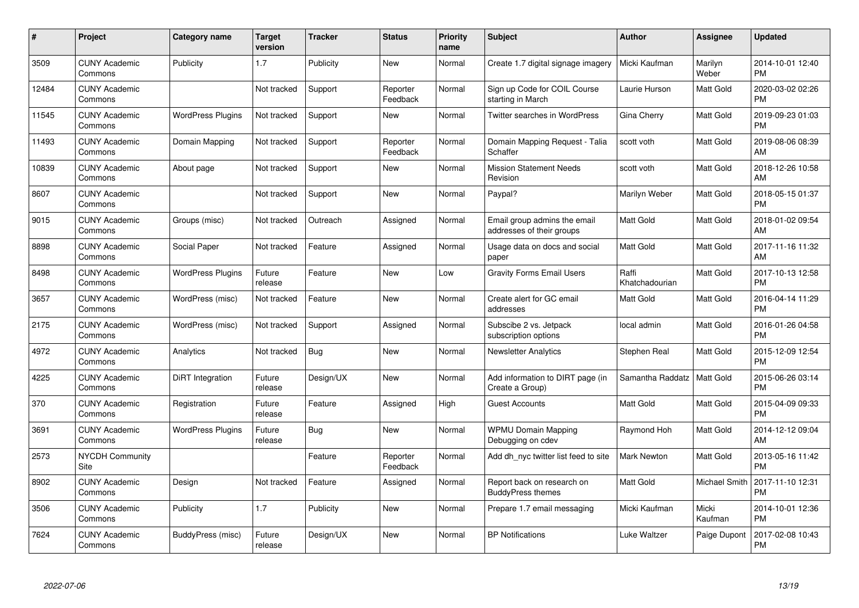| #     | Project                         | Category name            | Target<br>version | <b>Tracker</b> | <b>Status</b>        | <b>Priority</b><br>name | <b>Subject</b>                                            | Author                  | <b>Assignee</b>  | <b>Updated</b>                |
|-------|---------------------------------|--------------------------|-------------------|----------------|----------------------|-------------------------|-----------------------------------------------------------|-------------------------|------------------|-------------------------------|
| 3509  | <b>CUNY Academic</b><br>Commons | Publicity                | 1.7               | Publicity      | <b>New</b>           | Normal                  | Create 1.7 digital signage imagery                        | Micki Kaufman           | Marilyn<br>Weber | 2014-10-01 12:40<br><b>PM</b> |
| 12484 | <b>CUNY Academic</b><br>Commons |                          | Not tracked       | Support        | Reporter<br>Feedback | Normal                  | Sign up Code for COIL Course<br>starting in March         | Laurie Hurson           | Matt Gold        | 2020-03-02 02:26<br><b>PM</b> |
| 11545 | <b>CUNY Academic</b><br>Commons | <b>WordPress Plugins</b> | Not tracked       | Support        | New                  | Normal                  | <b>Twitter searches in WordPress</b>                      | Gina Cherry             | Matt Gold        | 2019-09-23 01:03<br><b>PM</b> |
| 11493 | <b>CUNY Academic</b><br>Commons | Domain Mapping           | Not tracked       | Support        | Reporter<br>Feedback | Normal                  | Domain Mapping Request - Talia<br>Schaffer                | scott voth              | Matt Gold        | 2019-08-06 08:39<br>AM        |
| 10839 | <b>CUNY Academic</b><br>Commons | About page               | Not tracked       | Support        | New                  | Normal                  | <b>Mission Statement Needs</b><br>Revision                | scott voth              | Matt Gold        | 2018-12-26 10:58<br>AM        |
| 8607  | <b>CUNY Academic</b><br>Commons |                          | Not tracked       | Support        | <b>New</b>           | Normal                  | Paypal?                                                   | Marilyn Weber           | Matt Gold        | 2018-05-15 01:37<br><b>PM</b> |
| 9015  | <b>CUNY Academic</b><br>Commons | Groups (misc)            | Not tracked       | Outreach       | Assigned             | Normal                  | Email group admins the email<br>addresses of their groups | <b>Matt Gold</b>        | Matt Gold        | 2018-01-02 09:54<br>AM        |
| 8898  | <b>CUNY Academic</b><br>Commons | Social Paper             | Not tracked       | Feature        | Assigned             | Normal                  | Usage data on docs and social<br>paper                    | <b>Matt Gold</b>        | Matt Gold        | 2017-11-16 11:32<br>AM        |
| 8498  | <b>CUNY Academic</b><br>Commons | <b>WordPress Plugins</b> | Future<br>release | Feature        | New                  | Low                     | <b>Gravity Forms Email Users</b>                          | Raffi<br>Khatchadourian | Matt Gold        | 2017-10-13 12:58<br><b>PM</b> |
| 3657  | <b>CUNY Academic</b><br>Commons | WordPress (misc)         | Not tracked       | Feature        | <b>New</b>           | Normal                  | Create alert for GC email<br>addresses                    | <b>Matt Gold</b>        | Matt Gold        | 2016-04-14 11:29<br><b>PM</b> |
| 2175  | <b>CUNY Academic</b><br>Commons | WordPress (misc)         | Not tracked       | Support        | Assigned             | Normal                  | Subscibe 2 vs. Jetpack<br>subscription options            | local admin             | Matt Gold        | 2016-01-26 04:58<br><b>PM</b> |
| 4972  | <b>CUNY Academic</b><br>Commons | Analytics                | Not tracked       | <b>Bug</b>     | New                  | Normal                  | <b>Newsletter Analytics</b>                               | Stephen Real            | Matt Gold        | 2015-12-09 12:54<br><b>PM</b> |
| 4225  | <b>CUNY Academic</b><br>Commons | DiRT Integration         | Future<br>release | Design/UX      | New                  | Normal                  | Add information to DIRT page (in<br>Create a Group)       | Samantha Raddatz        | Matt Gold        | 2015-06-26 03:14<br><b>PM</b> |
| 370   | <b>CUNY Academic</b><br>Commons | Registration             | Future<br>release | Feature        | Assigned             | High                    | <b>Guest Accounts</b>                                     | <b>Matt Gold</b>        | Matt Gold        | 2015-04-09 09:33<br><b>PM</b> |
| 3691  | <b>CUNY Academic</b><br>Commons | <b>WordPress Plugins</b> | Future<br>release | Bug            | New                  | Normal                  | <b>WPMU Domain Mapping</b><br>Debugging on cdev           | Raymond Hoh             | Matt Gold        | 2014-12-12 09:04<br>AM        |
| 2573  | <b>NYCDH Community</b><br>Site  |                          |                   | Feature        | Reporter<br>Feedback | Normal                  | Add dh_nyc twitter list feed to site                      | <b>Mark Newton</b>      | Matt Gold        | 2013-05-16 11:42<br><b>PM</b> |
| 8902  | <b>CUNY Academic</b><br>Commons | Design                   | Not tracked       | Feature        | Assigned             | Normal                  | Report back on research on<br><b>BuddyPress themes</b>    | <b>Matt Gold</b>        | Michael Smith    | 2017-11-10 12:31<br><b>PM</b> |
| 3506  | <b>CUNY Academic</b><br>Commons | Publicity                | 1.7               | Publicity      | New                  | Normal                  | Prepare 1.7 email messaging                               | Micki Kaufman           | Micki<br>Kaufman | 2014-10-01 12:36<br><b>PM</b> |
| 7624  | <b>CUNY Academic</b><br>Commons | BuddyPress (misc)        | Future<br>release | Design/UX      | <b>New</b>           | Normal                  | <b>BP Notifications</b>                                   | Luke Waltzer            | Paige Dupont     | 2017-02-08 10:43<br><b>PM</b> |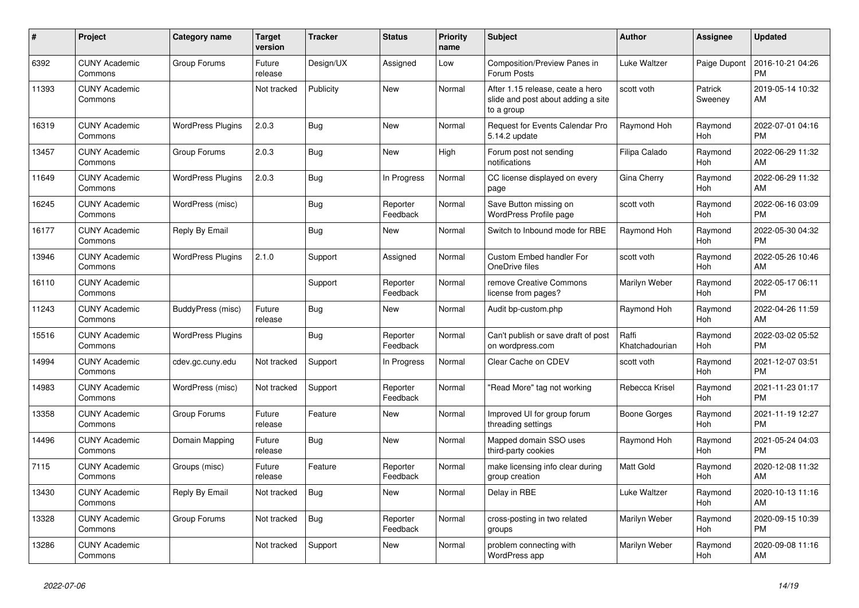| #     | Project                         | <b>Category name</b>     | <b>Target</b><br>version | <b>Tracker</b> | <b>Status</b>        | <b>Priority</b><br>name | <b>Subject</b>                                                                       | <b>Author</b>           | <b>Assignee</b>    | <b>Updated</b>                |
|-------|---------------------------------|--------------------------|--------------------------|----------------|----------------------|-------------------------|--------------------------------------------------------------------------------------|-------------------------|--------------------|-------------------------------|
| 6392  | <b>CUNY Academic</b><br>Commons | Group Forums             | Future<br>release        | Design/UX      | Assigned             | Low                     | Composition/Preview Panes in<br>Forum Posts                                          | Luke Waltzer            | Paige Dupont       | 2016-10-21 04:26<br><b>PM</b> |
| 11393 | <b>CUNY Academic</b><br>Commons |                          | Not tracked              | Publicity      | <b>New</b>           | Normal                  | After 1.15 release, ceate a hero<br>slide and post about adding a site<br>to a group | scott voth              | Patrick<br>Sweeney | 2019-05-14 10:32<br>AM        |
| 16319 | <b>CUNY Academic</b><br>Commons | <b>WordPress Plugins</b> | 2.0.3                    | Bug            | New                  | Normal                  | Request for Events Calendar Pro<br>5.14.2 update                                     | Raymond Hoh             | Raymond<br>Hoh     | 2022-07-01 04:16<br><b>PM</b> |
| 13457 | <b>CUNY Academic</b><br>Commons | Group Forums             | 2.0.3                    | Bug            | New                  | High                    | Forum post not sending<br>notifications                                              | Filipa Calado           | Raymond<br>Hoh     | 2022-06-29 11:32<br>AM        |
| 11649 | <b>CUNY Academic</b><br>Commons | <b>WordPress Plugins</b> | 2.0.3                    | <b>Bug</b>     | In Progress          | Normal                  | CC license displayed on every<br>page                                                | Gina Cherry             | Raymond<br>Hoh     | 2022-06-29 11:32<br>AM        |
| 16245 | <b>CUNY Academic</b><br>Commons | WordPress (misc)         |                          | Bug            | Reporter<br>Feedback | Normal                  | Save Button missing on<br><b>WordPress Profile page</b>                              | scott voth              | Raymond<br>Hoh     | 2022-06-16 03:09<br><b>PM</b> |
| 16177 | <b>CUNY Academic</b><br>Commons | Reply By Email           |                          | Bug            | New                  | Normal                  | Switch to Inbound mode for RBE                                                       | Raymond Hoh             | Raymond<br>Hoh     | 2022-05-30 04:32<br><b>PM</b> |
| 13946 | <b>CUNY Academic</b><br>Commons | <b>WordPress Plugins</b> | 2.1.0                    | Support        | Assigned             | Normal                  | Custom Embed handler For<br>OneDrive files                                           | scott voth              | Raymond<br>Hoh     | 2022-05-26 10:46<br>AM        |
| 16110 | <b>CUNY Academic</b><br>Commons |                          |                          | Support        | Reporter<br>Feedback | Normal                  | remove Creative Commons<br>license from pages?                                       | Marilyn Weber           | Raymond<br>Hoh     | 2022-05-17 06:11<br><b>PM</b> |
| 11243 | <b>CUNY Academic</b><br>Commons | BuddyPress (misc)        | Future<br>release        | Bug            | New                  | Normal                  | Audit bp-custom.php                                                                  | Raymond Hoh             | Raymond<br>Hoh     | 2022-04-26 11:59<br>AM        |
| 15516 | <b>CUNY Academic</b><br>Commons | <b>WordPress Plugins</b> |                          | Bug            | Reporter<br>Feedback | Normal                  | Can't publish or save draft of post<br>on wordpress.com                              | Raffi<br>Khatchadourian | Raymond<br>Hoh     | 2022-03-02 05:52<br><b>PM</b> |
| 14994 | <b>CUNY Academic</b><br>Commons | cdev.gc.cuny.edu         | Not tracked              | Support        | In Progress          | Normal                  | Clear Cache on CDEV                                                                  | scott voth              | Raymond<br>Hoh     | 2021-12-07 03:51<br><b>PM</b> |
| 14983 | <b>CUNY Academic</b><br>Commons | WordPress (misc)         | Not tracked              | Support        | Reporter<br>Feedback | Normal                  | "Read More" tag not working                                                          | Rebecca Krisel          | Raymond<br>Hoh     | 2021-11-23 01:17<br><b>PM</b> |
| 13358 | <b>CUNY Academic</b><br>Commons | Group Forums             | Future<br>release        | Feature        | <b>New</b>           | Normal                  | Improved UI for group forum<br>threading settings                                    | Boone Gorges            | Raymond<br>Hoh     | 2021-11-19 12:27<br><b>PM</b> |
| 14496 | <b>CUNY Academic</b><br>Commons | Domain Mapping           | Future<br>release        | Bug            | <b>New</b>           | Normal                  | Mapped domain SSO uses<br>third-party cookies                                        | Raymond Hoh             | Raymond<br>Hoh     | 2021-05-24 04:03<br><b>PM</b> |
| 7115  | <b>CUNY Academic</b><br>Commons | Groups (misc)            | Future<br>release        | Feature        | Reporter<br>Feedback | Normal                  | make licensing info clear during<br>group creation                                   | <b>Matt Gold</b>        | Raymond<br>Hoh     | 2020-12-08 11:32<br>AM        |
| 13430 | <b>CUNY Academic</b><br>Commons | Reply By Email           | Not tracked              | <b>Bug</b>     | New                  | Normal                  | Delay in RBE                                                                         | Luke Waltzer            | Raymond<br>Hoh     | 2020-10-13 11:16<br>AM        |
| 13328 | <b>CUNY Academic</b><br>Commons | Group Forums             | Not tracked              | Bug            | Reporter<br>Feedback | Normal                  | cross-posting in two related<br>groups                                               | Marilyn Weber           | Raymond<br>Hoh     | 2020-09-15 10:39<br><b>PM</b> |
| 13286 | <b>CUNY Academic</b><br>Commons |                          | Not tracked              | Support        | <b>New</b>           | Normal                  | problem connecting with<br>WordPress app                                             | Marilyn Weber           | Raymond<br>Hoh     | 2020-09-08 11:16<br>AM        |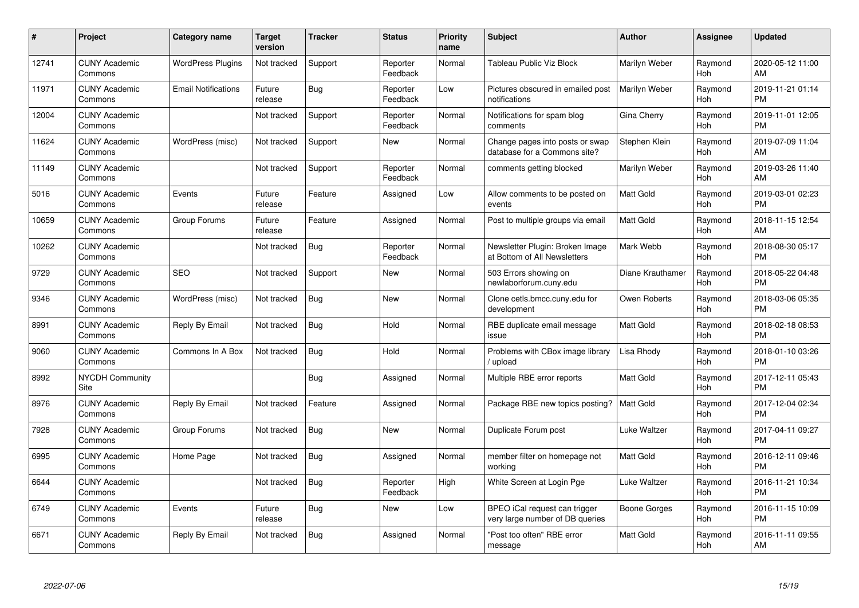| #     | <b>Project</b>                  | Category name              | <b>Target</b><br>version | <b>Tracker</b> | <b>Status</b>        | <b>Priority</b><br>name | <b>Subject</b>                                                   | <b>Author</b>    | <b>Assignee</b> | <b>Updated</b>                |
|-------|---------------------------------|----------------------------|--------------------------|----------------|----------------------|-------------------------|------------------------------------------------------------------|------------------|-----------------|-------------------------------|
| 12741 | <b>CUNY Academic</b><br>Commons | <b>WordPress Plugins</b>   | Not tracked              | Support        | Reporter<br>Feedback | Normal                  | Tableau Public Viz Block                                         | Marilyn Weber    | Raymond<br>Hoh  | 2020-05-12 11:00<br>AM        |
| 11971 | <b>CUNY Academic</b><br>Commons | <b>Email Notifications</b> | Future<br>release        | Bug            | Reporter<br>Feedback | Low                     | Pictures obscured in emailed post<br>notifications               | Marilyn Weber    | Raymond<br>Hoh  | 2019-11-21 01:14<br><b>PM</b> |
| 12004 | <b>CUNY Academic</b><br>Commons |                            | Not tracked              | Support        | Reporter<br>Feedback | Normal                  | Notifications for spam blog<br>comments                          | Gina Cherry      | Raymond<br>Hoh  | 2019-11-01 12:05<br><b>PM</b> |
| 11624 | <b>CUNY Academic</b><br>Commons | WordPress (misc)           | Not tracked              | Support        | New                  | Normal                  | Change pages into posts or swap<br>database for a Commons site?  | Stephen Klein    | Raymond<br>Hoh  | 2019-07-09 11:04<br>AM        |
| 11149 | <b>CUNY Academic</b><br>Commons |                            | Not tracked              | Support        | Reporter<br>Feedback | Normal                  | comments getting blocked                                         | Marilyn Weber    | Raymond<br>Hoh  | 2019-03-26 11:40<br>AM        |
| 5016  | <b>CUNY Academic</b><br>Commons | Events                     | Future<br>release        | Feature        | Assigned             | Low                     | Allow comments to be posted on<br>events                         | <b>Matt Gold</b> | Raymond<br>Hoh  | 2019-03-01 02:23<br><b>PM</b> |
| 10659 | <b>CUNY Academic</b><br>Commons | Group Forums               | Future<br>release        | Feature        | Assigned             | Normal                  | Post to multiple groups via email                                | <b>Matt Gold</b> | Raymond<br>Hoh  | 2018-11-15 12:54<br>AM        |
| 10262 | <b>CUNY Academic</b><br>Commons |                            | Not tracked              | Bug            | Reporter<br>Feedback | Normal                  | Newsletter Plugin: Broken Image<br>at Bottom of All Newsletters  | Mark Webb        | Raymond<br>Hoh  | 2018-08-30 05:17<br><b>PM</b> |
| 9729  | <b>CUNY Academic</b><br>Commons | <b>SEO</b>                 | Not tracked              | Support        | New                  | Normal                  | 503 Errors showing on<br>newlaborforum.cuny.edu                  | Diane Krauthamer | Raymond<br>Hoh  | 2018-05-22 04:48<br><b>PM</b> |
| 9346  | <b>CUNY Academic</b><br>Commons | WordPress (misc)           | Not tracked              | Bug            | <b>New</b>           | Normal                  | Clone cetls.bmcc.cuny.edu for<br>development                     | Owen Roberts     | Raymond<br>Hoh  | 2018-03-06 05:35<br><b>PM</b> |
| 8991  | <b>CUNY Academic</b><br>Commons | Reply By Email             | Not tracked              | <b>Bug</b>     | Hold                 | Normal                  | RBE duplicate email message<br>issue                             | <b>Matt Gold</b> | Raymond<br>Hoh  | 2018-02-18 08:53<br><b>PM</b> |
| 9060  | <b>CUNY Academic</b><br>Commons | Commons In A Box           | Not tracked              | <b>Bug</b>     | Hold                 | Normal                  | Problems with CBox image library<br>/ upload                     | Lisa Rhody       | Raymond<br>Hoh  | 2018-01-10 03:26<br><b>PM</b> |
| 8992  | <b>NYCDH Community</b><br>Site  |                            |                          | Bug            | Assigned             | Normal                  | Multiple RBE error reports                                       | <b>Matt Gold</b> | Raymond<br>Hoh  | 2017-12-11 05:43<br><b>PM</b> |
| 8976  | <b>CUNY Academic</b><br>Commons | Reply By Email             | Not tracked              | Feature        | Assigned             | Normal                  | Package RBE new topics posting?                                  | <b>Matt Gold</b> | Raymond<br>Hoh  | 2017-12-04 02:34<br><b>PM</b> |
| 7928  | <b>CUNY Academic</b><br>Commons | Group Forums               | Not tracked              | <b>Bug</b>     | New                  | Normal                  | Duplicate Forum post                                             | Luke Waltzer     | Raymond<br>Hoh  | 2017-04-11 09:27<br><b>PM</b> |
| 6995  | <b>CUNY Academic</b><br>Commons | Home Page                  | Not tracked              | Bug            | Assigned             | Normal                  | member filter on homepage not<br>working                         | <b>Matt Gold</b> | Raymond<br>Hoh  | 2016-12-11 09:46<br><b>PM</b> |
| 6644  | <b>CUNY Academic</b><br>Commons |                            | Not tracked              | <b>Bug</b>     | Reporter<br>Feedback | High                    | White Screen at Login Pge                                        | Luke Waltzer     | Raymond<br>Hoh  | 2016-11-21 10:34<br><b>PM</b> |
| 6749  | <b>CUNY Academic</b><br>Commons | Events                     | Future<br>release        | <b>Bug</b>     | New                  | Low                     | BPEO iCal request can trigger<br>very large number of DB queries | Boone Gorges     | Raymond<br>Hoh  | 2016-11-15 10:09<br><b>PM</b> |
| 6671  | <b>CUNY Academic</b><br>Commons | Reply By Email             | Not tracked              | Bug            | Assigned             | Normal                  | "Post too often" RBE error<br>message                            | Matt Gold        | Raymond<br>Hoh  | 2016-11-11 09:55<br>AM        |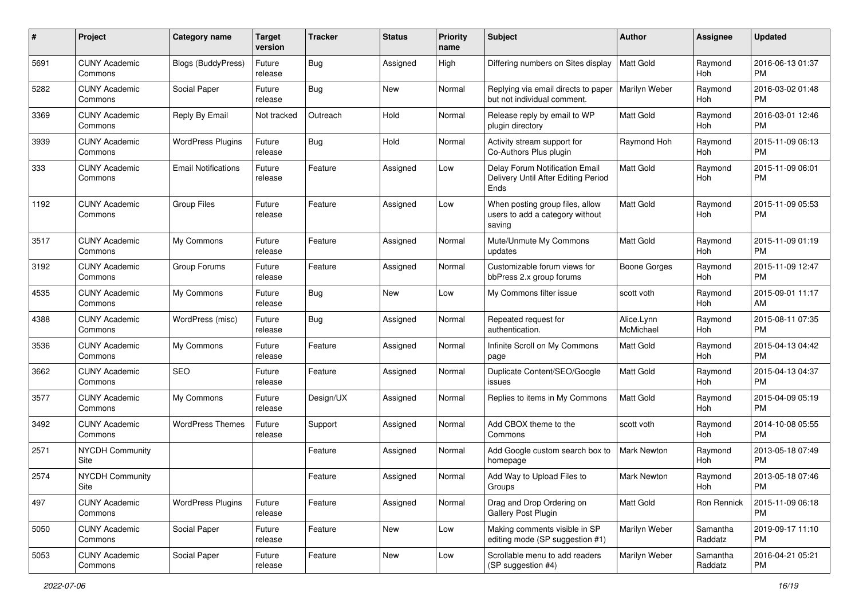| #    | Project                         | <b>Category name</b>       | <b>Target</b><br>version | <b>Tracker</b> | <b>Status</b> | Priority<br>name | <b>Subject</b>                                                                | Author                  | <b>Assignee</b>     | <b>Updated</b>                |
|------|---------------------------------|----------------------------|--------------------------|----------------|---------------|------------------|-------------------------------------------------------------------------------|-------------------------|---------------------|-------------------------------|
| 5691 | <b>CUNY Academic</b><br>Commons | <b>Blogs (BuddyPress)</b>  | Future<br>release        | <b>Bug</b>     | Assigned      | High             | Differing numbers on Sites display                                            | <b>Matt Gold</b>        | Raymond<br>Hoh      | 2016-06-13 01:37<br>PM        |
| 5282 | <b>CUNY Academic</b><br>Commons | Social Paper               | Future<br>release        | Bug            | New           | Normal           | Replying via email directs to paper<br>but not individual comment.            | Marilyn Weber           | Raymond<br>Hoh      | 2016-03-02 01:48<br><b>PM</b> |
| 3369 | <b>CUNY Academic</b><br>Commons | Reply By Email             | Not tracked              | Outreach       | Hold          | Normal           | Release reply by email to WP<br>plugin directory                              | <b>Matt Gold</b>        | Raymond<br>Hoh      | 2016-03-01 12:46<br><b>PM</b> |
| 3939 | <b>CUNY Academic</b><br>Commons | <b>WordPress Plugins</b>   | Future<br>release        | <b>Bug</b>     | Hold          | Normal           | Activity stream support for<br>Co-Authors Plus plugin                         | Raymond Hoh             | Raymond<br>Hoh      | 2015-11-09 06:13<br><b>PM</b> |
| 333  | <b>CUNY Academic</b><br>Commons | <b>Email Notifications</b> | Future<br>release        | Feature        | Assigned      | Low              | Delay Forum Notification Email<br>Delivery Until After Editing Period<br>Ends | <b>Matt Gold</b>        | Raymond<br>Hoh      | 2015-11-09 06:01<br><b>PM</b> |
| 1192 | <b>CUNY Academic</b><br>Commons | <b>Group Files</b>         | Future<br>release        | Feature        | Assigned      | Low              | When posting group files, allow<br>users to add a category without<br>saving  | <b>Matt Gold</b>        | Raymond<br>Hoh      | 2015-11-09 05:53<br><b>PM</b> |
| 3517 | <b>CUNY Academic</b><br>Commons | My Commons                 | Future<br>release        | Feature        | Assigned      | Normal           | Mute/Unmute My Commons<br>updates                                             | <b>Matt Gold</b>        | Raymond<br>Hoh      | 2015-11-09 01:19<br><b>PM</b> |
| 3192 | <b>CUNY Academic</b><br>Commons | Group Forums               | Future<br>release        | Feature        | Assigned      | Normal           | Customizable forum views for<br>bbPress 2.x group forums                      | <b>Boone Gorges</b>     | Raymond<br>Hoh      | 2015-11-09 12:47<br><b>PM</b> |
| 4535 | <b>CUNY Academic</b><br>Commons | My Commons                 | Future<br>release        | Bug            | New           | Low              | My Commons filter issue                                                       | scott voth              | Raymond<br>Hoh      | 2015-09-01 11:17<br>AM        |
| 4388 | <b>CUNY Academic</b><br>Commons | WordPress (misc)           | Future<br>release        | <b>Bug</b>     | Assigned      | Normal           | Repeated request for<br>authentication.                                       | Alice.Lynn<br>McMichael | Raymond<br>Hoh      | 2015-08-11 07:35<br><b>PM</b> |
| 3536 | <b>CUNY Academic</b><br>Commons | My Commons                 | Future<br>release        | Feature        | Assigned      | Normal           | Infinite Scroll on My Commons<br>page                                         | <b>Matt Gold</b>        | Raymond<br>Hoh      | 2015-04-13 04:42<br><b>PM</b> |
| 3662 | <b>CUNY Academic</b><br>Commons | SEO                        | Future<br>release        | Feature        | Assigned      | Normal           | Duplicate Content/SEO/Google<br>issues                                        | <b>Matt Gold</b>        | Raymond<br>Hoh      | 2015-04-13 04:37<br><b>PM</b> |
| 3577 | <b>CUNY Academic</b><br>Commons | My Commons                 | Future<br>release        | Design/UX      | Assigned      | Normal           | Replies to items in My Commons                                                | <b>Matt Gold</b>        | Raymond<br>Hoh      | 2015-04-09 05:19<br><b>PM</b> |
| 3492 | <b>CUNY Academic</b><br>Commons | <b>WordPress Themes</b>    | Future<br>release        | Support        | Assigned      | Normal           | Add CBOX theme to the<br>Commons                                              | scott voth              | Raymond<br>Hoh      | 2014-10-08 05:55<br><b>PM</b> |
| 2571 | NYCDH Community<br>Site         |                            |                          | Feature        | Assigned      | Normal           | Add Google custom search box to<br>homepage                                   | Mark Newton             | Raymond<br>Hoh      | 2013-05-18 07:49<br><b>PM</b> |
| 2574 | <b>NYCDH Community</b><br>Site  |                            |                          | Feature        | Assigned      | Normal           | Add Way to Upload Files to<br>Groups                                          | Mark Newton             | Raymond<br>Hoh      | 2013-05-18 07:46<br>PM        |
| 497  | <b>CUNY Academic</b><br>Commons | <b>WordPress Plugins</b>   | Future<br>release        | Feature        | Assigned      | Normal           | Drag and Drop Ordering on<br>Gallery Post Plugin                              | <b>Matt Gold</b>        | Ron Rennick         | 2015-11-09 06:18<br><b>PM</b> |
| 5050 | <b>CUNY Academic</b><br>Commons | Social Paper               | Future<br>release        | Feature        | New           | Low              | Making comments visible in SP<br>editing mode (SP suggestion #1)              | Marilyn Weber           | Samantha<br>Raddatz | 2019-09-17 11:10<br><b>PM</b> |
| 5053 | <b>CUNY Academic</b><br>Commons | Social Paper               | Future<br>release        | Feature        | New           | Low              | Scrollable menu to add readers<br>(SP suggestion #4)                          | Marilyn Weber           | Samantha<br>Raddatz | 2016-04-21 05:21<br><b>PM</b> |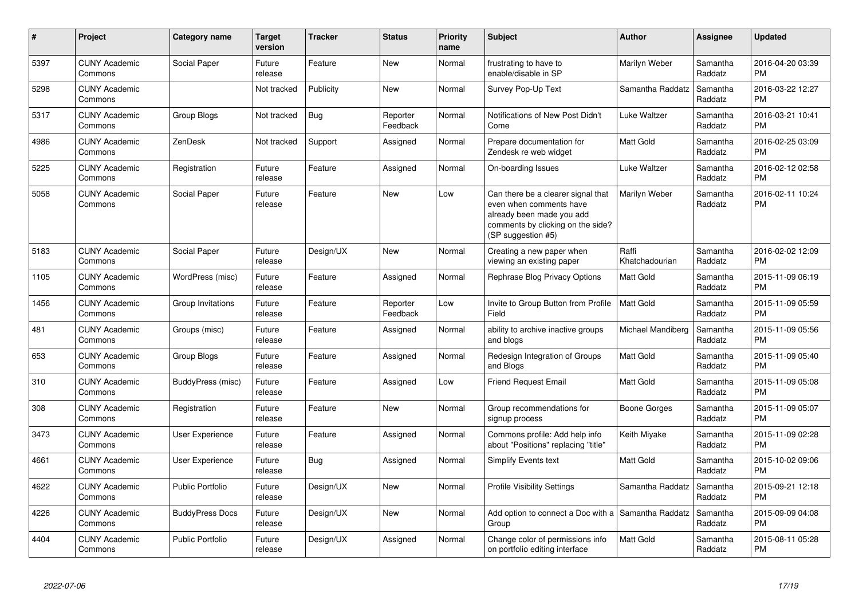| #    | Project                         | Category name           | <b>Target</b><br>version | <b>Tracker</b> | <b>Status</b>        | <b>Priority</b><br>name | <b>Subject</b>                                                                                                                                        | <b>Author</b>           | <b>Assignee</b>     | <b>Updated</b>                |
|------|---------------------------------|-------------------------|--------------------------|----------------|----------------------|-------------------------|-------------------------------------------------------------------------------------------------------------------------------------------------------|-------------------------|---------------------|-------------------------------|
| 5397 | <b>CUNY Academic</b><br>Commons | Social Paper            | Future<br>release        | Feature        | New                  | Normal                  | frustrating to have to<br>enable/disable in SP                                                                                                        | Marilyn Weber           | Samantha<br>Raddatz | 2016-04-20 03:39<br><b>PM</b> |
| 5298 | <b>CUNY Academic</b><br>Commons |                         | Not tracked              | Publicity      | New                  | Normal                  | Survey Pop-Up Text                                                                                                                                    | Samantha Raddatz        | Samantha<br>Raddatz | 2016-03-22 12:27<br><b>PM</b> |
| 5317 | <b>CUNY Academic</b><br>Commons | Group Blogs             | Not tracked              | <b>Bug</b>     | Reporter<br>Feedback | Normal                  | Notifications of New Post Didn't<br>Come                                                                                                              | Luke Waltzer            | Samantha<br>Raddatz | 2016-03-21 10:41<br><b>PM</b> |
| 4986 | <b>CUNY Academic</b><br>Commons | ZenDesk                 | Not tracked              | Support        | Assigned             | Normal                  | Prepare documentation for<br>Zendesk re web widget                                                                                                    | <b>Matt Gold</b>        | Samantha<br>Raddatz | 2016-02-25 03:09<br><b>PM</b> |
| 5225 | <b>CUNY Academic</b><br>Commons | Registration            | Future<br>release        | Feature        | Assigned             | Normal                  | On-boarding Issues                                                                                                                                    | Luke Waltzer            | Samantha<br>Raddatz | 2016-02-12 02:58<br><b>PM</b> |
| 5058 | <b>CUNY Academic</b><br>Commons | <b>Social Paper</b>     | Future<br>release        | Feature        | <b>New</b>           | Low                     | Can there be a clearer signal that<br>even when comments have<br>already been made you add<br>comments by clicking on the side?<br>(SP suggestion #5) | Marilyn Weber           | Samantha<br>Raddatz | 2016-02-11 10:24<br><b>PM</b> |
| 5183 | <b>CUNY Academic</b><br>Commons | Social Paper            | Future<br>release        | Design/UX      | New                  | Normal                  | Creating a new paper when<br>viewing an existing paper                                                                                                | Raffi<br>Khatchadourian | Samantha<br>Raddatz | 2016-02-02 12:09<br><b>PM</b> |
| 1105 | <b>CUNY Academic</b><br>Commons | WordPress (misc)        | Future<br>release        | Feature        | Assigned             | Normal                  | Rephrase Blog Privacy Options                                                                                                                         | <b>Matt Gold</b>        | Samantha<br>Raddatz | 2015-11-09 06:19<br><b>PM</b> |
| 1456 | <b>CUNY Academic</b><br>Commons | Group Invitations       | Future<br>release        | Feature        | Reporter<br>Feedback | Low                     | Invite to Group Button from Profile<br>Field                                                                                                          | Matt Gold               | Samantha<br>Raddatz | 2015-11-09 05:59<br><b>PM</b> |
| 481  | <b>CUNY Academic</b><br>Commons | Groups (misc)           | Future<br>release        | Feature        | Assigned             | Normal                  | ability to archive inactive groups<br>and blogs                                                                                                       | Michael Mandiberg       | Samantha<br>Raddatz | 2015-11-09 05:56<br><b>PM</b> |
| 653  | <b>CUNY Academic</b><br>Commons | Group Blogs             | Future<br>release        | Feature        | Assigned             | Normal                  | Redesign Integration of Groups<br>and Blogs                                                                                                           | Matt Gold               | Samantha<br>Raddatz | 2015-11-09 05:40<br><b>PM</b> |
| 310  | <b>CUNY Academic</b><br>Commons | BuddyPress (misc)       | Future<br>release        | Feature        | Assigned             | Low                     | <b>Friend Request Email</b>                                                                                                                           | <b>Matt Gold</b>        | Samantha<br>Raddatz | 2015-11-09 05:08<br><b>PM</b> |
| 308  | <b>CUNY Academic</b><br>Commons | Registration            | Future<br>release        | Feature        | New                  | Normal                  | Group recommendations for<br>signup process                                                                                                           | Boone Gorges            | Samantha<br>Raddatz | 2015-11-09 05:07<br><b>PM</b> |
| 3473 | <b>CUNY Academic</b><br>Commons | User Experience         | Future<br>release        | Feature        | Assigned             | Normal                  | Commons profile: Add help info<br>about "Positions" replacing "title"                                                                                 | Keith Miyake            | Samantha<br>Raddatz | 2015-11-09 02:28<br><b>PM</b> |
| 4661 | <b>CUNY Academic</b><br>Commons | User Experience         | Future<br>release        | Bug            | Assigned             | Normal                  | Simplify Events text                                                                                                                                  | <b>Matt Gold</b>        | Samantha<br>Raddatz | 2015-10-02 09:06<br><b>PM</b> |
| 4622 | <b>CUNY Academic</b><br>Commons | <b>Public Portfolio</b> | Future<br>release        | Design/UX      | <b>New</b>           | Normal                  | <b>Profile Visibility Settings</b>                                                                                                                    | Samantha Raddatz        | Samantha<br>Raddatz | 2015-09-21 12:18<br><b>PM</b> |
| 4226 | <b>CUNY Academic</b><br>Commons | <b>BuddyPress Docs</b>  | Future<br>release        | Design/UX      | <b>New</b>           | Normal                  | Add option to connect a Doc with a Samantha Raddatz<br>Group                                                                                          |                         | Samantha<br>Raddatz | 2015-09-09 04:08<br><b>PM</b> |
| 4404 | <b>CUNY Academic</b><br>Commons | <b>Public Portfolio</b> | Future<br>release        | Design/UX      | Assigned             | Normal                  | Change color of permissions info<br>on portfolio editing interface                                                                                    | <b>Matt Gold</b>        | Samantha<br>Raddatz | 2015-08-11 05:28<br><b>PM</b> |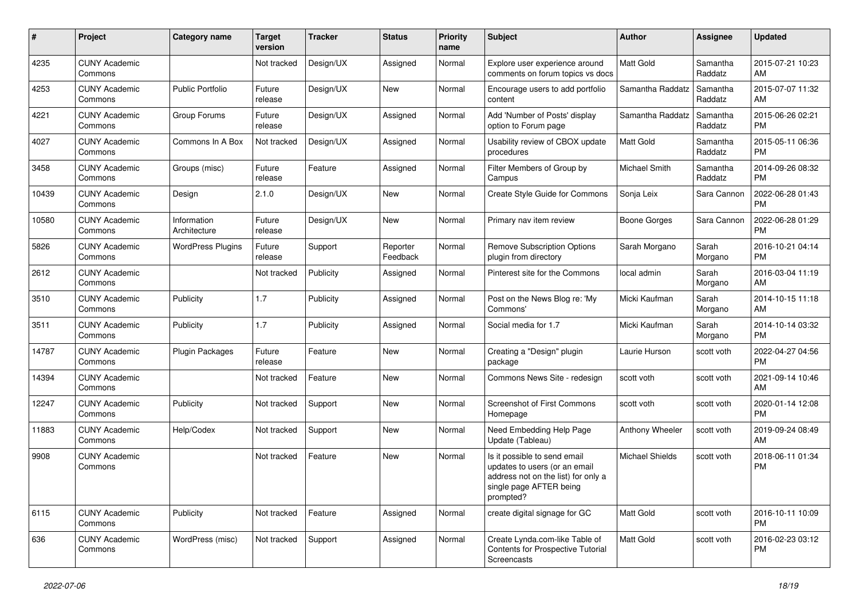| #     | Project                         | <b>Category name</b>        | <b>Target</b><br>version | <b>Tracker</b> | <b>Status</b>        | <b>Priority</b><br>name | Subject                                                                                                                                      | Author                 | <b>Assignee</b>     | <b>Updated</b>                |
|-------|---------------------------------|-----------------------------|--------------------------|----------------|----------------------|-------------------------|----------------------------------------------------------------------------------------------------------------------------------------------|------------------------|---------------------|-------------------------------|
| 4235  | <b>CUNY Academic</b><br>Commons |                             | Not tracked              | Design/UX      | Assigned             | Normal                  | Explore user experience around<br>comments on forum topics vs docs                                                                           | <b>Matt Gold</b>       | Samantha<br>Raddatz | 2015-07-21 10:23<br>AM        |
| 4253  | <b>CUNY Academic</b><br>Commons | <b>Public Portfolio</b>     | Future<br>release        | Design/UX      | New                  | Normal                  | Encourage users to add portfolio<br>content                                                                                                  | Samantha Raddatz       | Samantha<br>Raddatz | 2015-07-07 11:32<br>AM        |
| 4221  | <b>CUNY Academic</b><br>Commons | Group Forums                | Future<br>release        | Design/UX      | Assigned             | Normal                  | Add 'Number of Posts' display<br>option to Forum page                                                                                        | Samantha Raddatz       | Samantha<br>Raddatz | 2015-06-26 02:21<br><b>PM</b> |
| 4027  | <b>CUNY Academic</b><br>Commons | Commons In A Box            | Not tracked              | Design/UX      | Assigned             | Normal                  | Usability review of CBOX update<br>procedures                                                                                                | <b>Matt Gold</b>       | Samantha<br>Raddatz | 2015-05-11 06:36<br><b>PM</b> |
| 3458  | <b>CUNY Academic</b><br>Commons | Groups (misc)               | Future<br>release        | Feature        | Assigned             | Normal                  | Filter Members of Group by<br>Campus                                                                                                         | <b>Michael Smith</b>   | Samantha<br>Raddatz | 2014-09-26 08:32<br><b>PM</b> |
| 10439 | <b>CUNY Academic</b><br>Commons | Design                      | 2.1.0                    | Design/UX      | New                  | Normal                  | Create Style Guide for Commons                                                                                                               | Sonja Leix             | Sara Cannon         | 2022-06-28 01:43<br><b>PM</b> |
| 10580 | <b>CUNY Academic</b><br>Commons | Information<br>Architecture | Future<br>release        | Design/UX      | New                  | Normal                  | Primary nav item review                                                                                                                      | <b>Boone Gorges</b>    | Sara Cannon         | 2022-06-28 01:29<br><b>PM</b> |
| 5826  | <b>CUNY Academic</b><br>Commons | <b>WordPress Plugins</b>    | Future<br>release        | Support        | Reporter<br>Feedback | Normal                  | <b>Remove Subscription Options</b><br>plugin from directory                                                                                  | Sarah Morgano          | Sarah<br>Morgano    | 2016-10-21 04:14<br><b>PM</b> |
| 2612  | <b>CUNY Academic</b><br>Commons |                             | Not tracked              | Publicity      | Assigned             | Normal                  | Pinterest site for the Commons                                                                                                               | local admin            | Sarah<br>Morgano    | 2016-03-04 11:19<br>AM        |
| 3510  | <b>CUNY Academic</b><br>Commons | Publicity                   | 1.7                      | Publicity      | Assigned             | Normal                  | Post on the News Blog re: 'My<br>Commons'                                                                                                    | Micki Kaufman          | Sarah<br>Morgano    | 2014-10-15 11:18<br>AM        |
| 3511  | <b>CUNY Academic</b><br>Commons | Publicity                   | 1.7                      | Publicity      | Assigned             | Normal                  | Social media for 1.7                                                                                                                         | Micki Kaufman          | Sarah<br>Morgano    | 2014-10-14 03:32<br><b>PM</b> |
| 14787 | <b>CUNY Academic</b><br>Commons | Plugin Packages             | Future<br>release        | Feature        | New                  | Normal                  | Creating a "Design" plugin<br>package                                                                                                        | Laurie Hurson          | scott voth          | 2022-04-27 04:56<br><b>PM</b> |
| 14394 | <b>CUNY Academic</b><br>Commons |                             | Not tracked              | Feature        | New                  | Normal                  | Commons News Site - redesign                                                                                                                 | scott voth             | scott voth          | 2021-09-14 10:46<br>AM        |
| 12247 | <b>CUNY Academic</b><br>Commons | Publicity                   | Not tracked              | Support        | New                  | Normal                  | Screenshot of First Commons<br>Homepage                                                                                                      | scott voth             | scott voth          | 2020-01-14 12:08<br><b>PM</b> |
| 11883 | <b>CUNY Academic</b><br>Commons | Help/Codex                  | Not tracked              | Support        | New                  | Normal                  | Need Embedding Help Page<br>Update (Tableau)                                                                                                 | Anthony Wheeler        | scott voth          | 2019-09-24 08:49<br>AM        |
| 9908  | <b>CUNY Academic</b><br>Commons |                             | Not tracked              | Feature        | New                  | Normal                  | Is it possible to send email<br>updates to users (or an email<br>address not on the list) for only a<br>single page AFTER being<br>prompted? | <b>Michael Shields</b> | scott voth          | 2018-06-11 01:34<br><b>PM</b> |
| 6115  | <b>CUNY Academic</b><br>Commons | Publicity                   | Not tracked              | Feature        | Assigned             | Normal                  | create digital signage for GC                                                                                                                | Matt Gold              | scott voth          | 2016-10-11 10:09<br><b>PM</b> |
| 636   | <b>CUNY Academic</b><br>Commons | WordPress (misc)            | Not tracked              | Support        | Assigned             | Normal                  | Create Lynda.com-like Table of<br>Contents for Prospective Tutorial<br>Screencasts                                                           | <b>Matt Gold</b>       | scott voth          | 2016-02-23 03:12<br><b>PM</b> |